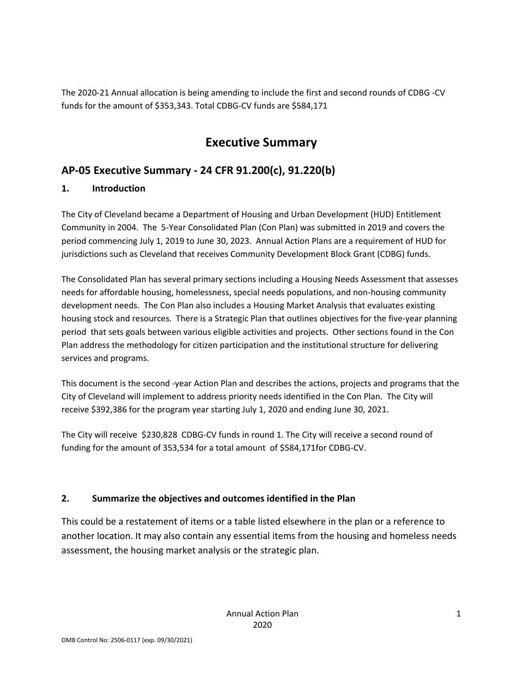The 2020‐21 Annual allocation is being amending to include the first and second rounds of CDBG ‐CV funds for the amount of \$353,343. Total CDBG‐CV funds are \$584,171

## **Executive Summary**

## **AP‐05 Executive Summary ‐ 24 CFR 91.200(c), 91.220(b)**

### **1. Introduction**

The City of Cleveland became a Department of Housing and Urban Development (HUD) Entitlement Community in 2004. The 5‐Year Consolidated Plan (Con Plan) was submitted in 2019 and covers the period commencing July 1, 2019 to June 30, 2023. Annual Action Plans are a requirement of HUD for jurisdictions such as Cleveland that receives Community Development Block Grant (CDBG) funds.

The Consolidated Plan has several primary sections including a Housing Needs Assessment that assesses needs for affordable housing, homelessness, special needs populations, and non‐housing community development needs. The Con Plan also includes a Housing Market Analysis that evaluates existing housing stock and resources. There is a Strategic Plan that outlines objectives for the five-year planning period that sets goals between various eligible activities and projects. Other sections found in the Con Plan address the methodology for citizen participation and the institutional structure for delivering services and programs.

This document is the second ‐year Action Plan and describes the actions, projects and programs that the City of Cleveland will implement to address priority needs identified in the Con Plan. The City will receive \$392,386 for the program year starting July 1, 2020 and ending June 30, 2021.

The City will receive \$230,828 CDBG-CV funds in round 1. The City will receive a second round of funding for the amount of 353,534 for a total amount of \$584,171for CDBG‐CV.

### **2. Summarize the objectives and outcomes identified in the Plan**

This could be a restatement of items or a table listed elsewhere in the plan or a reference to another location. It may also contain any essential items from the housing and homeless needs assessment, the housing market analysis or the strategic plan.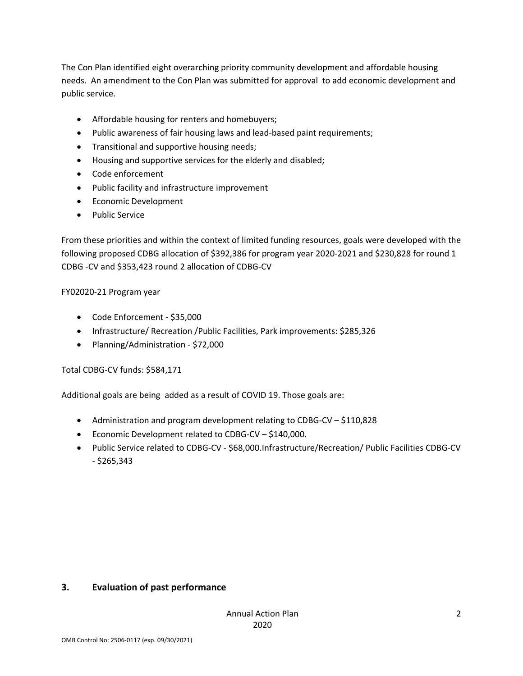The Con Plan identified eight overarching priority community development and affordable housing needs. An amendment to the Con Plan was submitted for approval to add economic development and public service.

- Affordable housing for renters and homebuyers;
- Public awareness of fair housing laws and lead-based paint requirements;
- Transitional and supportive housing needs;
- Housing and supportive services for the elderly and disabled;
- Code enforcement
- Public facility and infrastructure improvement
- **•** Economic Development
- Public Service

From these priorities and within the context of limited funding resources, goals were developed with the following proposed CDBG allocation of \$392,386 for program year 2020‐2021 and \$230,828 for round 1 CDBG ‐CV and \$353,423 round 2 allocation of CDBG‐CV

#### FY02020‐21 Program year

- Code Enforcement ‐ \$35,000
- Infrastructure/ Recreation /Public Facilities, Park improvements: \$285,326
- Planning/Administration \$72,000

#### Total CDBG‐CV funds: \$584,171

Additional goals are being added as a result of COVID 19. Those goals are:

- Administration and program development relating to CDBG-CV \$110,828
- Economic Development related to CDBG‐CV \$140,000.
- Public Service related to CDBG‐CV ‐ \$68,000.Infrastructure/Recreation/ Public Facilities CDBG‐CV ‐ \$265,343

#### **3. Evaluation of past performance**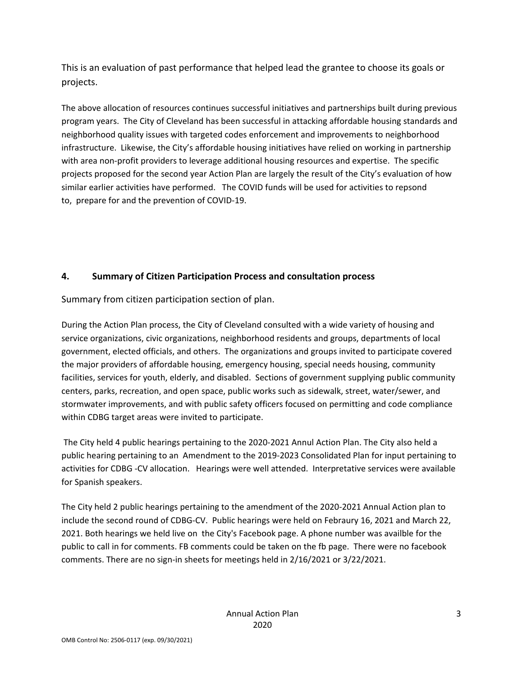This is an evaluation of past performance that helped lead the grantee to choose its goals or projects.

The above allocation of resources continues successful initiatives and partnerships built during previous program years. The City of Cleveland has been successful in attacking affordable housing standards and neighborhood quality issues with targeted codes enforcement and improvements to neighborhood infrastructure. Likewise, the City's affordable housing initiatives have relied on working in partnership with area non-profit providers to leverage additional housing resources and expertise. The specific projects proposed for the second year Action Plan are largely the result of the City's evaluation of how similar earlier activities have performed. The COVID funds will be used for activities to repsond to, prepare for and the prevention of COVID‐19.

### **4. Summary of Citizen Participation Process and consultation process**

Summary from citizen participation section of plan.

During the Action Plan process, the City of Cleveland consulted with a wide variety of housing and service organizations, civic organizations, neighborhood residents and groups, departments of local government, elected officials, and others. The organizations and groups invited to participate covered the major providers of affordable housing, emergency housing, special needs housing, community facilities, services for youth, elderly, and disabled. Sections of government supplying public community centers, parks, recreation, and open space, public works such as sidewalk, street, water/sewer, and stormwater improvements, and with public safety officers focused on permitting and code compliance within CDBG target areas were invited to participate.

The City held 4 public hearings pertaining to the 2020‐2021 Annul Action Plan. The City also held a public hearing pertaining to an Amendment to the 2019‐2023 Consolidated Plan for input pertaining to activities for CDBG ‐CV allocation. Hearings were well attended. Interpretative services were available for Spanish speakers.

The City held 2 public hearings pertaining to the amendment of the 2020‐2021 Annual Action plan to include the second round of CDBG‐CV. Public hearings were held on Febraury 16, 2021 and March 22, 2021. Both hearings we held live on the City's Facebook page. A phone number was availble for the public to call in for comments. FB comments could be taken on the fb page. There were no facebook comments. There are no sign‐in sheets for meetings held in 2/16/2021 or 3/22/2021.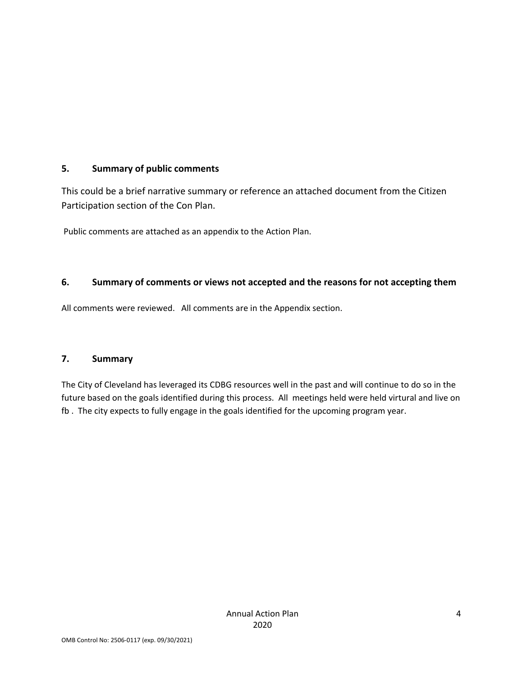### **5. Summary of public comments**

This could be a brief narrative summary or reference an attached document from the Citizen Participation section of the Con Plan.

Public comments are attached as an appendix to the Action Plan.

### **6. Summary of comments or views not accepted and the reasons for not accepting them**

All comments were reviewed. All comments are in the Appendix section.

#### **7. Summary**

The City of Cleveland has leveraged its CDBG resources well in the past and will continue to do so in the future based on the goals identified during this process. All meetings held were held virtural and live on fb . The city expects to fully engage in the goals identified for the upcoming program year.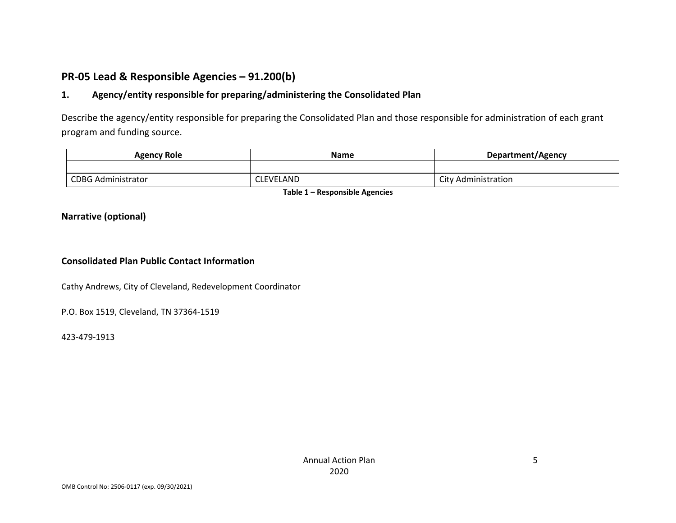### **PR‐05 Lead & Responsible Agencies – 91.200(b)**

#### **1.Agency/entity responsible for preparing/administering the Consolidated Plan**

Describe the agency/entity responsible for preparing the Consolidated Plan and those responsible for administration of each grant program and funding source.

| <b>Agency Role</b>        | Name             | Department/Agency          |  |
|---------------------------|------------------|----------------------------|--|
|                           |                  |                            |  |
| <b>CDBG Administrator</b> | <b>CLEVELAND</b> | <b>City Administration</b> |  |

**Table 1 – Responsible Agencies**

#### **Narrative (optional)**

#### **Consolidated Plan Public Contact Information**

Cathy Andrews, City of Cleveland, Redevelopment Coordinator

P.O. Box 1519, Cleveland, TN 37364‐1519

423‐479‐1913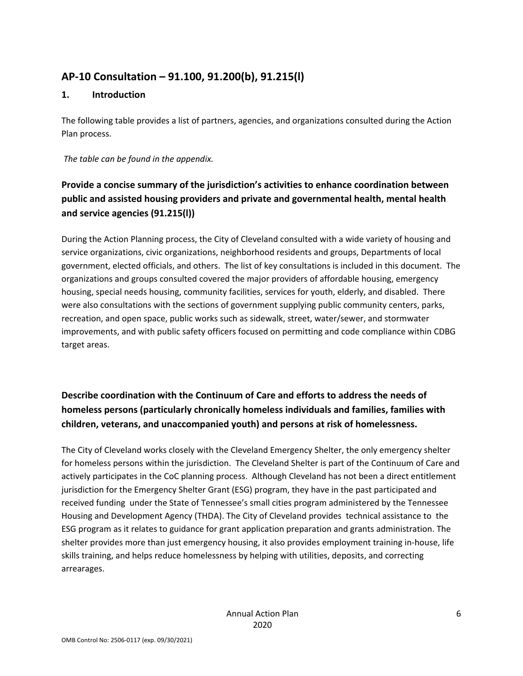## **AP‐10 Consultation – 91.100, 91.200(b), 91.215(l)**

### **1. Introduction**

The following table provides a list of partners, agencies, and organizations consulted during the Action Plan process.

*The table can be found in the appendix.*

## **Provide a concise summary of the jurisdiction's activities to enhance coordination between public and assisted housing providers and private and governmental health, mental health and service agencies (91.215(l))**

During the Action Planning process, the City of Cleveland consulted with a wide variety of housing and service organizations, civic organizations, neighborhood residents and groups, Departments of local government, elected officials, and others. The list of key consultations is included in this document. The organizations and groups consulted covered the major providers of affordable housing, emergency housing, special needs housing, community facilities, services for youth, elderly, and disabled. There were also consultations with the sections of government supplying public community centers, parks, recreation, and open space, public works such as sidewalk, street, water/sewer, and stormwater improvements, and with public safety officers focused on permitting and code compliance within CDBG target areas.

### **Describe coordination with the Continuum of Care and efforts to address the needs of homeless persons (particularly chronically homeless individuals and families, families with children, veterans, and unaccompanied youth) and persons at risk of homelessness.**

The City of Cleveland works closely with the Cleveland Emergency Shelter, the only emergency shelter for homeless persons within the jurisdiction. The Cleveland Shelter is part of the Continuum of Care and actively participates in the CoC planning process. Although Cleveland has not been a direct entitlement jurisdiction for the Emergency Shelter Grant (ESG) program, they have in the past participated and received funding under the State of Tennessee's small cities program administered by the Tennessee Housing and Development Agency (THDA). The City of Cleveland provides technical assistance to the ESG program as it relates to guidance for grant application preparation and grants administration. The shelter provides more than just emergency housing, it also provides employment training in‐house, life skills training, and helps reduce homelessness by helping with utilities, deposits, and correcting arrearages.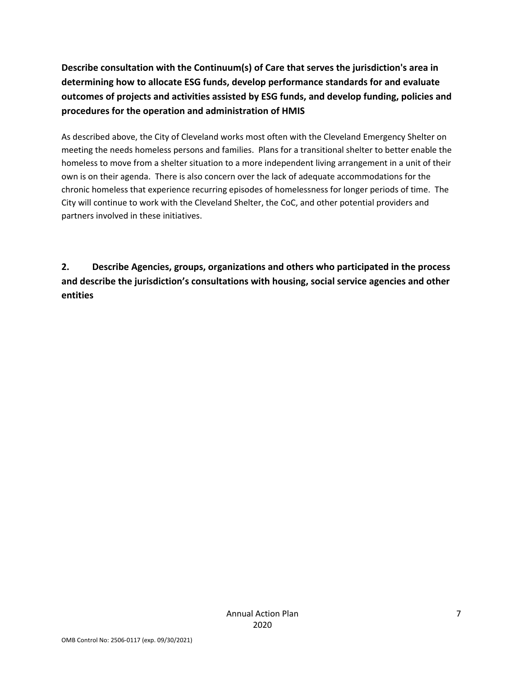**Describe consultation with the Continuum(s) of Care that serves the jurisdiction's area in determining how to allocate ESG funds, develop performance standards for and evaluate outcomes of projects and activities assisted by ESG funds, and develop funding, policies and procedures for the operation and administration of HMIS**

As described above, the City of Cleveland works most often with the Cleveland Emergency Shelter on meeting the needs homeless persons and families. Plans for a transitional shelter to better enable the homeless to move from a shelter situation to a more independent living arrangement in a unit of their own is on their agenda. There is also concern over the lack of adequate accommodations for the chronic homeless that experience recurring episodes of homelessness for longer periods of time. The City will continue to work with the Cleveland Shelter, the CoC, and other potential providers and partners involved in these initiatives.

**2. Describe Agencies, groups, organizations and others who participated in the process and describe the jurisdiction's consultations with housing, social service agencies and other entities**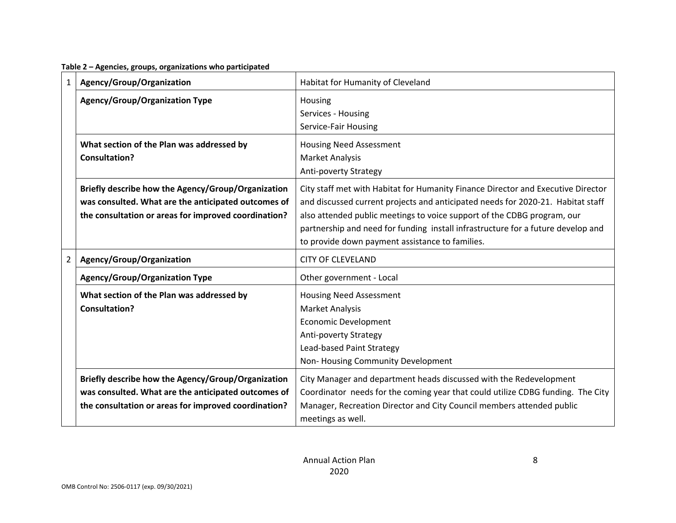**Table 2 – Agencies, groups, organizations who participated**

| 1           | Agency/Group/Organization                                                                                                                                         | Habitat for Humanity of Cleveland                                                                                                                                                                                                                                                                                                                                                     |
|-------------|-------------------------------------------------------------------------------------------------------------------------------------------------------------------|---------------------------------------------------------------------------------------------------------------------------------------------------------------------------------------------------------------------------------------------------------------------------------------------------------------------------------------------------------------------------------------|
|             | <b>Agency/Group/Organization Type</b>                                                                                                                             | Housing<br>Services - Housing<br>Service-Fair Housing                                                                                                                                                                                                                                                                                                                                 |
|             | What section of the Plan was addressed by<br>Consultation?                                                                                                        | <b>Housing Need Assessment</b><br><b>Market Analysis</b><br>Anti-poverty Strategy                                                                                                                                                                                                                                                                                                     |
|             | Briefly describe how the Agency/Group/Organization<br>was consulted. What are the anticipated outcomes of<br>the consultation or areas for improved coordination? | City staff met with Habitat for Humanity Finance Director and Executive Director<br>and discussed current projects and anticipated needs for 2020-21. Habitat staff<br>also attended public meetings to voice support of the CDBG program, our<br>partnership and need for funding install infrastructure for a future develop and<br>to provide down payment assistance to families. |
| $2^{\circ}$ | Agency/Group/Organization                                                                                                                                         | <b>CITY OF CLEVELAND</b>                                                                                                                                                                                                                                                                                                                                                              |
|             | <b>Agency/Group/Organization Type</b>                                                                                                                             | Other government - Local                                                                                                                                                                                                                                                                                                                                                              |
|             | What section of the Plan was addressed by<br>Consultation?                                                                                                        | <b>Housing Need Assessment</b><br><b>Market Analysis</b><br><b>Economic Development</b><br>Anti-poverty Strategy<br>Lead-based Paint Strategy<br>Non-Housing Community Development                                                                                                                                                                                                    |
|             | Briefly describe how the Agency/Group/Organization<br>was consulted. What are the anticipated outcomes of<br>the consultation or areas for improved coordination? | City Manager and department heads discussed with the Redevelopment<br>Coordinator needs for the coming year that could utilize CDBG funding. The City<br>Manager, Recreation Director and City Council members attended public<br>meetings as well.                                                                                                                                   |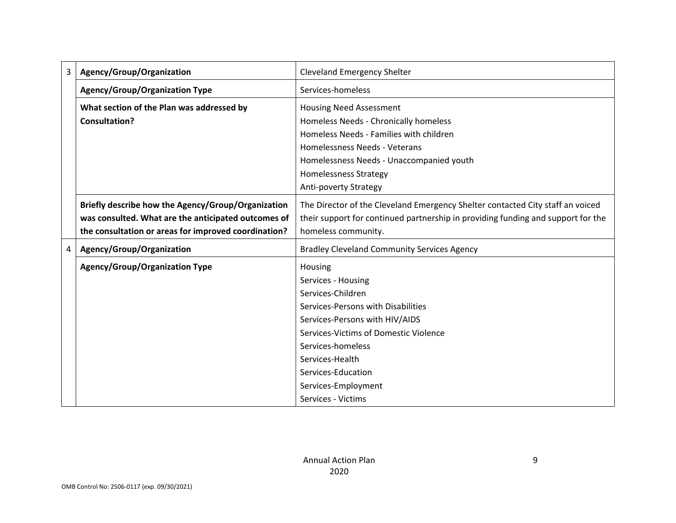| 3 | Agency/Group/Organization                            | <b>Cleveland Emergency Shelter</b>                                               |
|---|------------------------------------------------------|----------------------------------------------------------------------------------|
|   | <b>Agency/Group/Organization Type</b>                | Services-homeless                                                                |
|   | What section of the Plan was addressed by            | <b>Housing Need Assessment</b>                                                   |
|   | <b>Consultation?</b>                                 | Homeless Needs - Chronically homeless                                            |
|   |                                                      | Homeless Needs - Families with children                                          |
|   |                                                      | Homelessness Needs - Veterans                                                    |
|   |                                                      | Homelessness Needs - Unaccompanied youth                                         |
|   |                                                      | <b>Homelessness Strategy</b>                                                     |
|   |                                                      | Anti-poverty Strategy                                                            |
|   | Briefly describe how the Agency/Group/Organization   | The Director of the Cleveland Emergency Shelter contacted City staff an voiced   |
|   | was consulted. What are the anticipated outcomes of  | their support for continued partnership in providing funding and support for the |
|   | the consultation or areas for improved coordination? | homeless community.                                                              |
| 4 | Agency/Group/Organization                            | <b>Bradley Cleveland Community Services Agency</b>                               |
|   | <b>Agency/Group/Organization Type</b>                | Housing                                                                          |
|   |                                                      | Services - Housing                                                               |
|   |                                                      | Services-Children                                                                |
|   |                                                      | Services-Persons with Disabilities                                               |
|   |                                                      | Services-Persons with HIV/AIDS                                                   |
|   |                                                      | Services-Victims of Domestic Violence                                            |
|   |                                                      | Services-homeless                                                                |
|   |                                                      | Services-Health                                                                  |
|   |                                                      | Services-Education                                                               |
|   |                                                      | Services-Employment                                                              |
|   |                                                      | Services - Victims                                                               |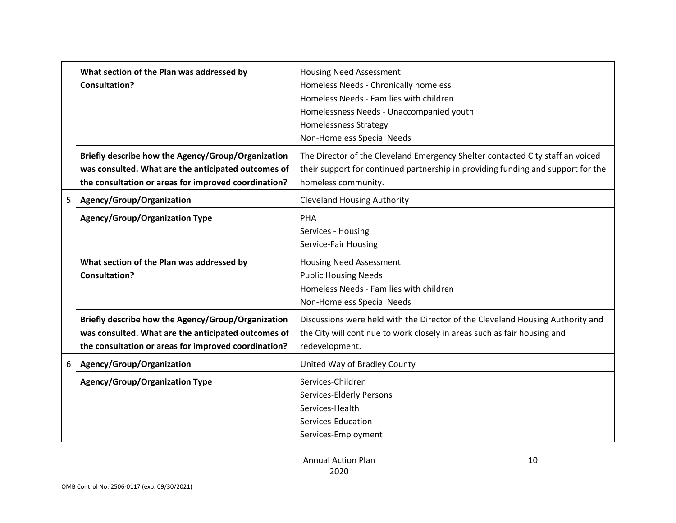|   | What section of the Plan was addressed by<br><b>Consultation?</b>                                                                                                 | <b>Housing Need Assessment</b><br>Homeless Needs - Chronically homeless<br>Homeless Needs - Families with children<br>Homelessness Needs - Unaccompanied youth<br><b>Homelessness Strategy</b><br>Non-Homeless Special Needs |
|---|-------------------------------------------------------------------------------------------------------------------------------------------------------------------|------------------------------------------------------------------------------------------------------------------------------------------------------------------------------------------------------------------------------|
|   | Briefly describe how the Agency/Group/Organization<br>was consulted. What are the anticipated outcomes of<br>the consultation or areas for improved coordination? | The Director of the Cleveland Emergency Shelter contacted City staff an voiced<br>their support for continued partnership in providing funding and support for the<br>homeless community.                                    |
| 5 | Agency/Group/Organization                                                                                                                                         | <b>Cleveland Housing Authority</b>                                                                                                                                                                                           |
|   | <b>Agency/Group/Organization Type</b>                                                                                                                             | PHA<br>Services - Housing<br>Service-Fair Housing                                                                                                                                                                            |
|   | What section of the Plan was addressed by<br>Consultation?                                                                                                        | <b>Housing Need Assessment</b><br><b>Public Housing Needs</b><br>Homeless Needs - Families with children<br>Non-Homeless Special Needs                                                                                       |
|   | Briefly describe how the Agency/Group/Organization<br>was consulted. What are the anticipated outcomes of<br>the consultation or areas for improved coordination? | Discussions were held with the Director of the Cleveland Housing Authority and<br>the City will continue to work closely in areas such as fair housing and<br>redevelopment.                                                 |
| 6 | Agency/Group/Organization                                                                                                                                         | United Way of Bradley County                                                                                                                                                                                                 |
|   | <b>Agency/Group/Organization Type</b>                                                                                                                             | Services-Children<br>Services-Elderly Persons<br>Services-Health<br>Services-Education<br>Services-Employment                                                                                                                |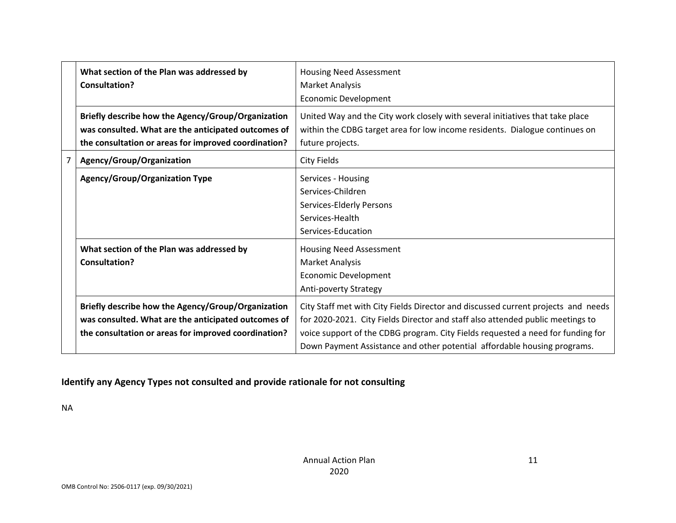|                | What section of the Plan was addressed by<br>Consultation?                                                                                                        | <b>Housing Need Assessment</b><br>Market Analysis<br><b>Economic Development</b>                                                                                                                                                                                                                                                   |
|----------------|-------------------------------------------------------------------------------------------------------------------------------------------------------------------|------------------------------------------------------------------------------------------------------------------------------------------------------------------------------------------------------------------------------------------------------------------------------------------------------------------------------------|
|                | Briefly describe how the Agency/Group/Organization<br>was consulted. What are the anticipated outcomes of<br>the consultation or areas for improved coordination? | United Way and the City work closely with several initiatives that take place<br>within the CDBG target area for low income residents. Dialogue continues on<br>future projects.                                                                                                                                                   |
| $\overline{7}$ | Agency/Group/Organization                                                                                                                                         | City Fields                                                                                                                                                                                                                                                                                                                        |
|                | <b>Agency/Group/Organization Type</b>                                                                                                                             | Services - Housing<br>Services-Children<br>Services-Elderly Persons<br>Services-Health<br>Services-Education                                                                                                                                                                                                                       |
|                | What section of the Plan was addressed by<br>Consultation?                                                                                                        | Housing Need Assessment<br>Market Analysis<br><b>Economic Development</b><br>Anti-poverty Strategy                                                                                                                                                                                                                                 |
|                | Briefly describe how the Agency/Group/Organization<br>was consulted. What are the anticipated outcomes of<br>the consultation or areas for improved coordination? | City Staff met with City Fields Director and discussed current projects and needs<br>for 2020-2021. City Fields Director and staff also attended public meetings to<br>voice support of the CDBG program. City Fields requested a need for funding for<br>Down Payment Assistance and other potential affordable housing programs. |

## **Identify any Agency Types not consulted and provide rationale for not consulting**

NA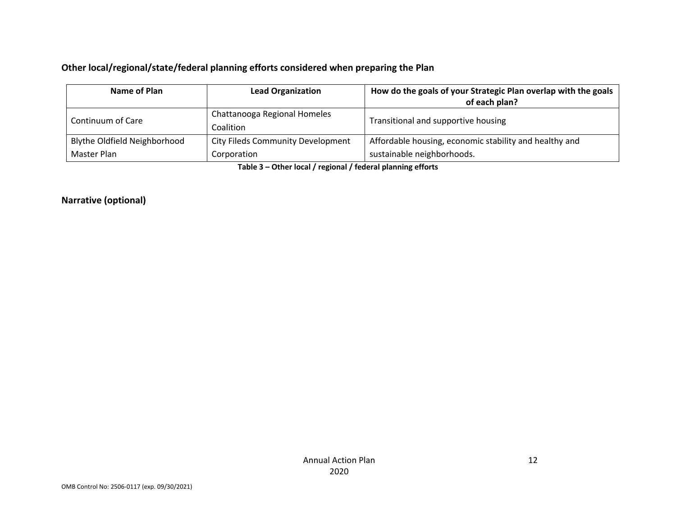### **Other local/regional/state/federal planning efforts considered when preparing the Plan**

| Name of Plan<br><b>Lead Organization</b> |                                           | How do the goals of your Strategic Plan overlap with the goals<br>of each plan? |  |  |
|------------------------------------------|-------------------------------------------|---------------------------------------------------------------------------------|--|--|
| Continuum of Care                        | Chattanooga Regional Homeles<br>Coalition | Transitional and supportive housing                                             |  |  |
| Blythe Oldfield Neighborhood             | <b>City Fileds Community Development</b>  | Affordable housing, economic stability and healthy and                          |  |  |
| Master Plan                              | Corporation                               | sustainable neighborhoods.                                                      |  |  |

**Table 3 – Other local / regional / federal planning efforts**

**Narrative (optional)**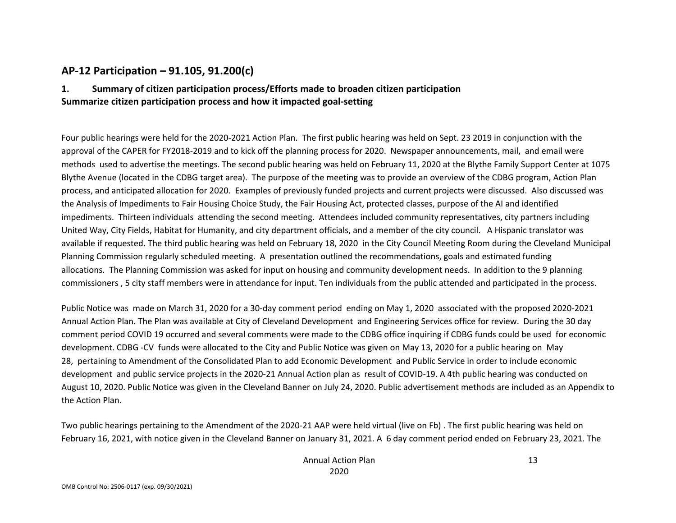### **AP‐12 Participation – 91.105, 91.200(c)**

#### **1. Summary of citizen participation process/Efforts made to broaden citizen participation Summarize citizen participation process and how it impacted goal‐setting**

Four public hearings were held for the 2020‐2021 Action Plan. The first public hearing was held on Sept. 23 2019 in conjunction with the approval of the CAPER for FY2018‐2019 and to kick off the planning process for 2020. Newspaper announcements, mail, and email were methods used to advertise the meetings. The second public hearing was held on February 11, 2020 at the Blythe Family Support Center at 1075 Blythe Avenue (located in the CDBG target area). The purpose of the meeting was to provide an overview of the CDBG program, Action Plan process, and anticipated allocation for 2020. Examples of previously funded projects and current projects were discussed. Also discussed was the Analysis of Impediments to Fair Housing Choice Study, the Fair Housing Act, protected classes, purpose of the AI and identified impediments. Thirteen individuals attending the second meeting. Attendees included community representatives, city partners including United Way, City Fields, Habitat for Humanity, and city department officials, and <sup>a</sup> member of the city council. A Hispanic translator was available if requested. The third public hearing was held on February 18, 2020 in the City Council Meeting Room during the Cleveland Municipal Planning Commission regularly scheduled meeting. A presentation outlined the recommendations, goals and estimated funding allocations. The Planning Commission was asked for input on housing and community development needs. In addition to the 9 planning commissioners , 5 city staff members were in attendance for input. Ten individuals from the public attended and participated in the process.

Public Notice was made on March 31, 2020 for <sup>a</sup> 30‐day comment period ending on May 1, 2020 associated with the proposed 2020‐2021 Annual Action Plan. The Plan was available at City of Cleveland Development and Engineering Services office for review. During the 30 day comment period COVID 19 occurred and several comments were made to the CDBG office inquiring if CDBG funds could be used for economic development. CDBG ‐CV funds were allocated to the City and Public Notice was given on May 13, 2020 for <sup>a</sup> public hearing on May 28, pertaining to Amendment of the Consolidated Plan to add Economic Development and Public Service in order to include economic development and public service projects in the 2020‐21 Annual Action plan as result of COVID‐19. A 4th public hearing was conducted on August 10, 2020. Public Notice was given in the Cleveland Banner on July 24, 2020. Public advertisement methods are included as an Appendix to the Action Plan.

Two public hearings pertaining to the Amendment of the 2020‐21 AAP were held virtual (live on Fb) . The first public hearing was held on February 16, 2021, with notice given in the Cleveland Banner on January 31, 2021. A 6 day comment period ended on February 23, 2021. The

13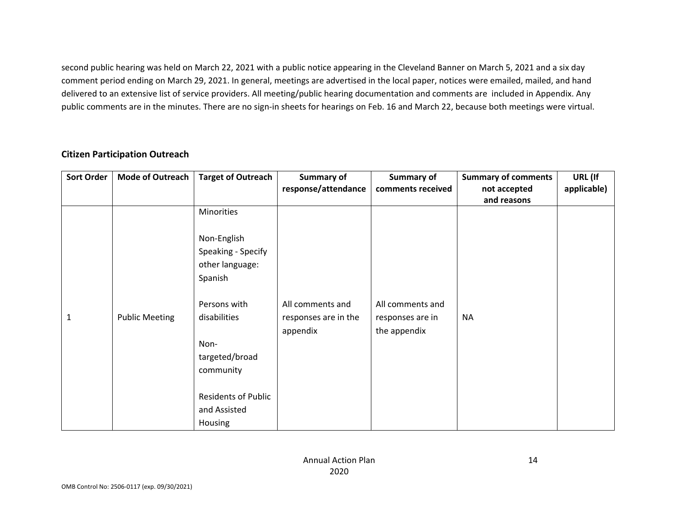second public hearing was held on March 22, 2021 with <sup>a</sup> public notice appearing in the Cleveland Banner on March 5, 2021 and <sup>a</sup> six day comment period ending on March 29, 2021. In general, meetings are advertised in the local paper, notices were emailed, mailed, and hand delivered to an extensive list of service providers. All meeting/public hearing documentation and comments are included in Appendix. Any public comments are in the minutes. There are no sign-in sheets for hearings on Feb. 16 and March 22, because both meetings were virtual.

| <b>Sort Order</b> | <b>Mode of Outreach</b> | <b>Target of Outreach</b>                                       | Summary of<br>response/attendance                    | Summary of<br>comments received                      | <b>Summary of comments</b><br>not accepted<br>and reasons | URL (If<br>applicable) |
|-------------------|-------------------------|-----------------------------------------------------------------|------------------------------------------------------|------------------------------------------------------|-----------------------------------------------------------|------------------------|
|                   |                         | Minorities                                                      |                                                      |                                                      |                                                           |                        |
|                   |                         | Non-English<br>Speaking - Specify<br>other language:<br>Spanish |                                                      |                                                      |                                                           |                        |
| 1                 | <b>Public Meeting</b>   | Persons with<br>disabilities                                    | All comments and<br>responses are in the<br>appendix | All comments and<br>responses are in<br>the appendix | <b>NA</b>                                                 |                        |
|                   |                         | Non-<br>targeted/broad<br>community                             |                                                      |                                                      |                                                           |                        |
|                   |                         | <b>Residents of Public</b><br>and Assisted<br>Housing           |                                                      |                                                      |                                                           |                        |

### **Citizen Participation Outreach**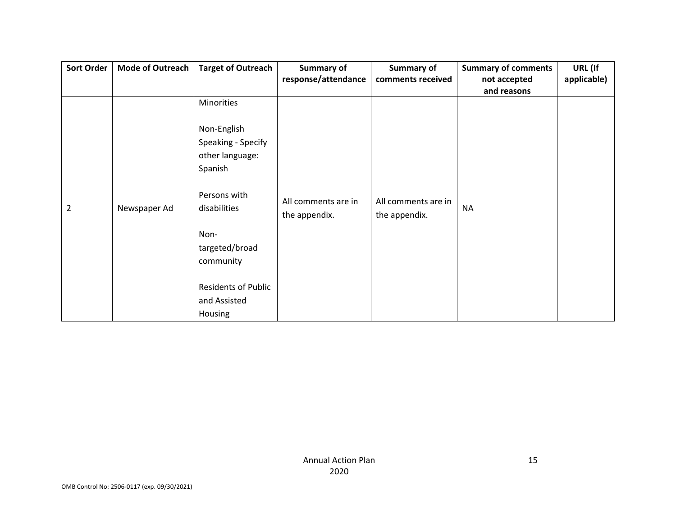| Sort Order | <b>Mode of Outreach</b> | <b>Target of Outreach</b>  | Summary of          | Summary of          | <b>Summary of comments</b> | URL (If     |
|------------|-------------------------|----------------------------|---------------------|---------------------|----------------------------|-------------|
|            |                         |                            | response/attendance | comments received   | not accepted               | applicable) |
|            |                         |                            |                     |                     | and reasons                |             |
|            |                         | Minorities                 |                     |                     |                            |             |
|            |                         |                            |                     |                     |                            |             |
|            |                         | Non-English                |                     |                     |                            |             |
|            |                         | Speaking - Specify         |                     |                     |                            |             |
|            |                         | other language:            |                     |                     |                            |             |
|            |                         | Spanish                    |                     |                     |                            |             |
|            |                         |                            |                     |                     |                            |             |
|            |                         | Persons with               | All comments are in | All comments are in |                            |             |
| 2          | Newspaper Ad            | disabilities               | the appendix.       | the appendix.       | <b>NA</b>                  |             |
|            |                         |                            |                     |                     |                            |             |
|            |                         | Non-                       |                     |                     |                            |             |
|            |                         | targeted/broad             |                     |                     |                            |             |
|            |                         | community                  |                     |                     |                            |             |
|            |                         |                            |                     |                     |                            |             |
|            |                         | <b>Residents of Public</b> |                     |                     |                            |             |
|            |                         | and Assisted               |                     |                     |                            |             |
|            |                         | Housing                    |                     |                     |                            |             |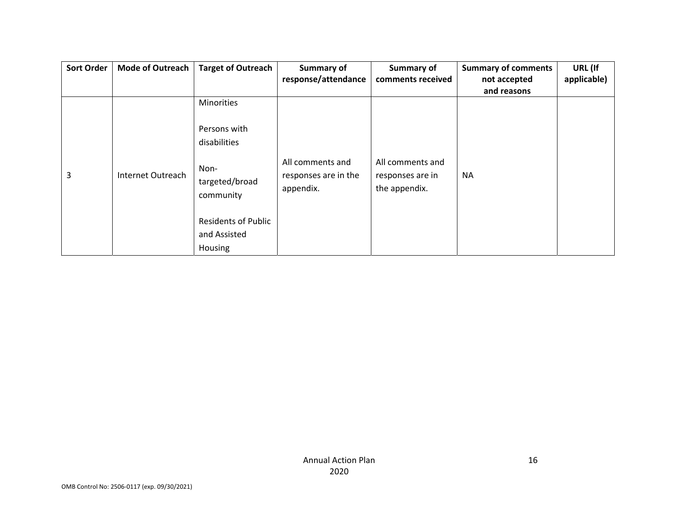| <b>Sort Order</b> | <b>Mode of Outreach</b> | <b>Target of Outreach</b>           | Summary of                                            | Summary of                                            | <b>Summary of comments</b> | URL (If     |
|-------------------|-------------------------|-------------------------------------|-------------------------------------------------------|-------------------------------------------------------|----------------------------|-------------|
|                   |                         |                                     | response/attendance                                   | comments received                                     | not accepted               | applicable) |
|                   |                         |                                     |                                                       |                                                       | and reasons                |             |
|                   |                         | Minorities                          |                                                       |                                                       |                            |             |
|                   |                         | Persons with                        |                                                       |                                                       |                            |             |
|                   |                         | disabilities                        |                                                       |                                                       |                            |             |
| 3                 | Internet Outreach       | Non-<br>targeted/broad<br>community | All comments and<br>responses are in the<br>appendix. | All comments and<br>responses are in<br>the appendix. | <b>NA</b>                  |             |
|                   |                         | <b>Residents of Public</b>          |                                                       |                                                       |                            |             |
|                   |                         | and Assisted                        |                                                       |                                                       |                            |             |
|                   |                         | Housing                             |                                                       |                                                       |                            |             |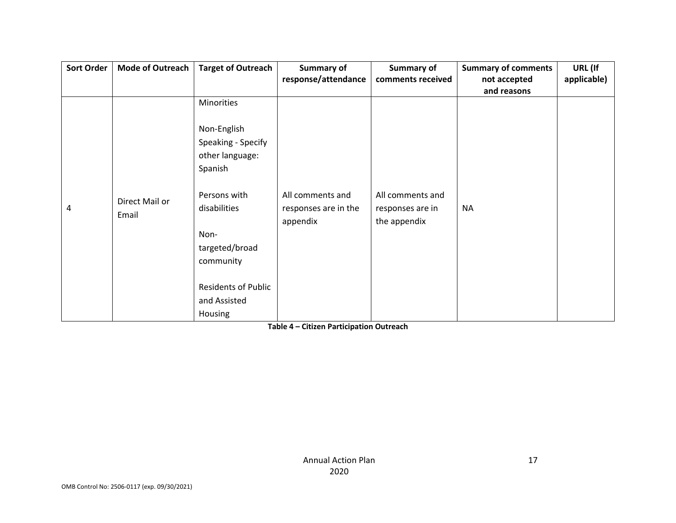| <b>Sort Order</b> | <b>Mode of Outreach</b> | <b>Target of Outreach</b>                                           | Summary of                                           | Summary of                                           | <b>Summary of comments</b> | URL (If     |
|-------------------|-------------------------|---------------------------------------------------------------------|------------------------------------------------------|------------------------------------------------------|----------------------------|-------------|
|                   |                         |                                                                     | response/attendance                                  | comments received                                    | not accepted               | applicable) |
|                   |                         |                                                                     |                                                      |                                                      | and reasons                |             |
|                   |                         | Minorities                                                          |                                                      |                                                      |                            |             |
|                   |                         | Non-English<br>Speaking - Specify<br>other language:<br>Spanish     |                                                      |                                                      |                            |             |
| 4                 | Direct Mail or<br>Email | Persons with<br>disabilities<br>Non-<br>targeted/broad<br>community | All comments and<br>responses are in the<br>appendix | All comments and<br>responses are in<br>the appendix | <b>NA</b>                  |             |
|                   |                         | <b>Residents of Public</b><br>and Assisted<br>Housing               |                                                      |                                                      |                            |             |

**Table 4 – Citizen Participation Outreach**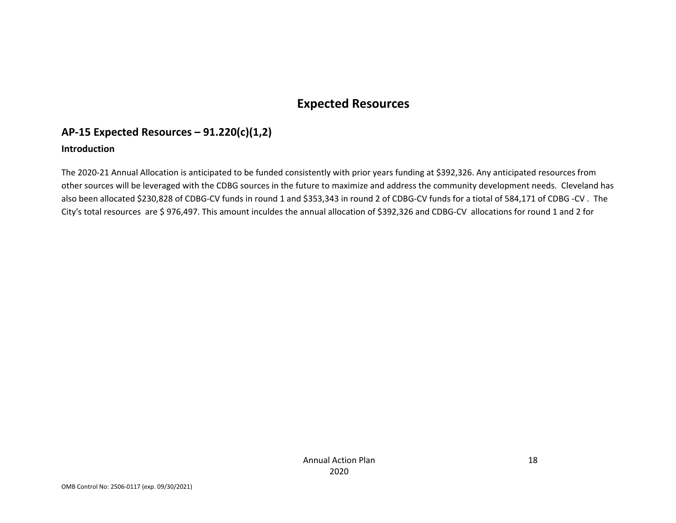## **Expected Resources**

## **AP‐15 Expected Resources – 91.220(c)(1,2)**

#### **Introduction**

The 2020‐21 Annual Allocation is anticipated to be funded consistently with prior years funding at \$392,326. Any anticipated resources from other sources will be leveraged with the CDBG sources in the future to maximize and address the community development needs. Cleveland has also been allocated \$230,828 of CDBG‐CV funds in round 1 and \$353,343 in round 2 of CDBG‐CV funds for <sup>a</sup> tiotal of 584,171 of CDBG ‐CV . The City's total resources are \$ 976,497. This amount inculdes the annual allocation of \$392,326 and CDBG‐CV allocations for round <sup>1</sup> and <sup>2</sup> for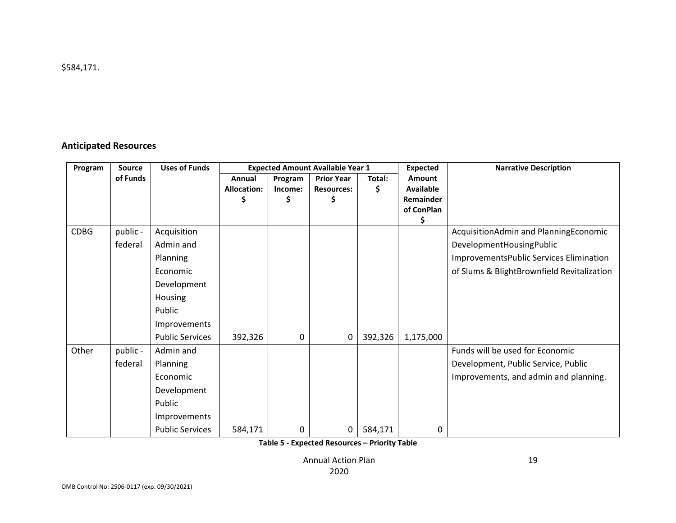### **Anticipated Resources**

| Program     | <b>Source</b> | <b>Uses of Funds</b>   |                    | <b>Expected Amount Available Year 1</b> |                   | <b>Expected</b> | <b>Narrative Description</b> |                                            |
|-------------|---------------|------------------------|--------------------|-----------------------------------------|-------------------|-----------------|------------------------------|--------------------------------------------|
|             | of Funds      |                        | Annual             | Program                                 | <b>Prior Year</b> | Total:          | Amount                       |                                            |
|             |               |                        | <b>Allocation:</b> | Income:                                 | <b>Resources:</b> | \$              | <b>Available</b>             |                                            |
|             |               |                        |                    | \$                                      | \$                |                 | <b>Remainder</b>             |                                            |
|             |               |                        |                    |                                         |                   |                 | of ConPlan<br>Ś              |                                            |
| <b>CDBG</b> | public -      | Acquisition            |                    |                                         |                   |                 |                              | AcquisitionAdmin and PlanningEconomic      |
|             | federal       | Admin and              |                    |                                         |                   |                 |                              | DevelopmentHousingPublic                   |
|             |               | Planning               |                    |                                         |                   |                 |                              | ImprovementsPublic Services Elimination    |
|             |               | Economic               |                    |                                         |                   |                 |                              | of Slums & BlightBrownfield Revitalization |
|             |               | Development            |                    |                                         |                   |                 |                              |                                            |
|             |               | <b>Housing</b>         |                    |                                         |                   |                 |                              |                                            |
|             |               | Public                 |                    |                                         |                   |                 |                              |                                            |
|             |               | Improvements           |                    |                                         |                   |                 |                              |                                            |
|             |               | <b>Public Services</b> | 392,326            | 0                                       | 0                 | 392,326         | 1,175,000                    |                                            |
| Other       | public -      | Admin and              |                    |                                         |                   |                 |                              | Funds will be used for Economic            |
|             | federal       | Planning               |                    |                                         |                   |                 |                              | Development, Public Service, Public        |
|             |               | Economic               |                    |                                         |                   |                 |                              | Improvements, and admin and planning.      |
|             |               | Development            |                    |                                         |                   |                 |                              |                                            |
|             |               | Public                 |                    |                                         |                   |                 |                              |                                            |
|             |               | Improvements           |                    |                                         |                   |                 |                              |                                            |
|             |               | <b>Public Services</b> | 584,171            | 0                                       | 0                 | 584,171         | 0                            |                                            |

**Table 5 ‐ Expected Resources – Priority Table**

Annual Action Plan 2020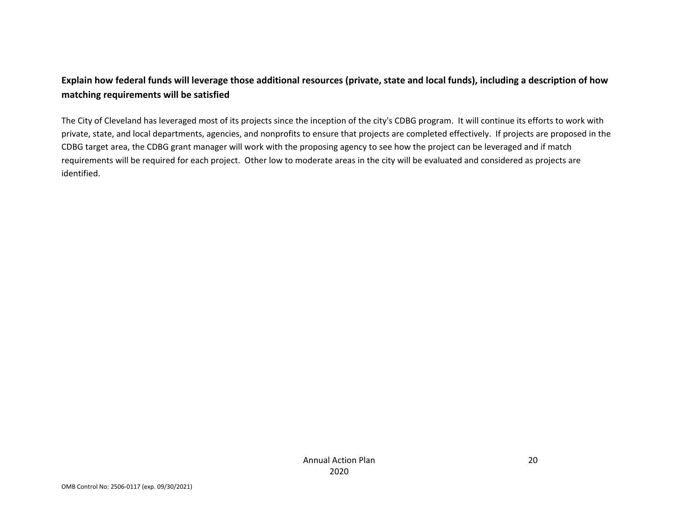### Explain how federal funds will leverage those additional resources (private, state and local funds), including a description of how **matching requirements will be satisfied**

The City of Cleveland has leveraged most of its projects since the inception of the city's CDBG program. It will continue its efforts to work with private, state, and local departments, agencies, and nonprofits to ensure that projects are completed effectively. If projects are proposed in the CDBG target area, the CDBG grant manager will work with the proposing agency to see how the project can be leveraged and if match requirements will be required for each project. Other low to moderate areas in the city will be evaluated and considered as projects are identified.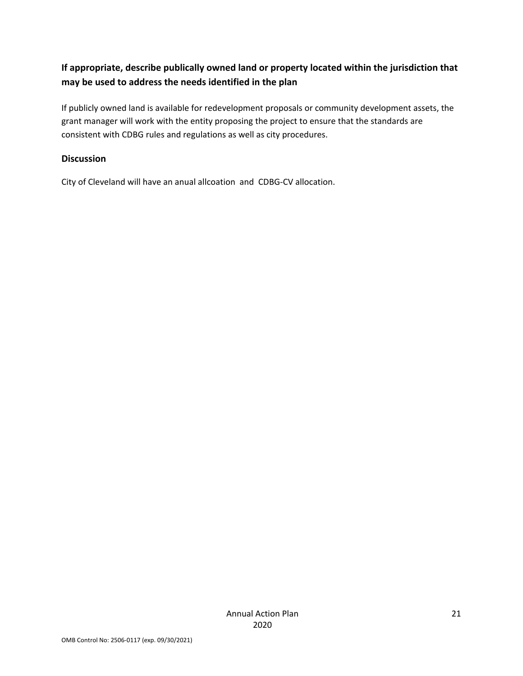### **If appropriate, describe publically owned land or property located within the jurisdiction that may be used to address the needs identified in the plan**

If publicly owned land is available for redevelopment proposals or community development assets, the grant manager will work with the entity proposing the project to ensure that the standards are consistent with CDBG rules and regulations as well as city procedures.

#### **Discussion**

City of Cleveland will have an anual allcoation and CDBG‐CV allocation.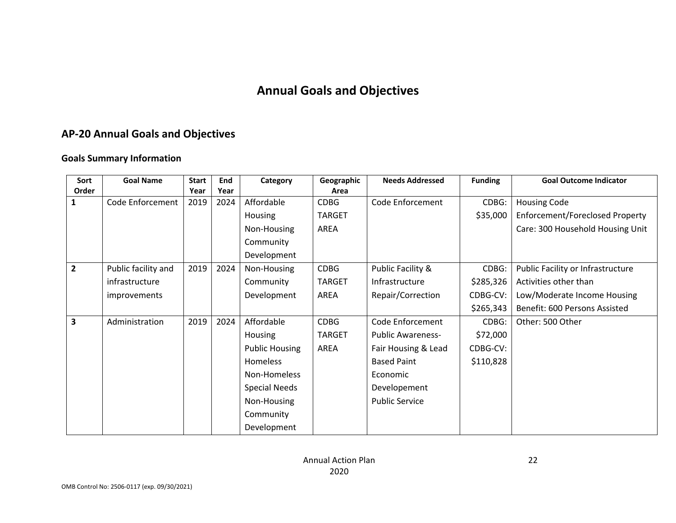## **Annual Goals and Objectives**

### **AP‐20 Annual Goals and Objectives**

#### **Goals Summary Information**

| Sort           | <b>Goal Name</b>    | <b>Start</b> | End  | Category              | Geographic    | <b>Needs Addressed</b>   | <b>Funding</b> | <b>Goal Outcome Indicator</b>     |
|----------------|---------------------|--------------|------|-----------------------|---------------|--------------------------|----------------|-----------------------------------|
| Order          |                     | Year         | Year |                       | Area          |                          |                |                                   |
| 1              | Code Enforcement    | 2019         | 2024 | Affordable            | <b>CDBG</b>   | Code Enforcement         | CDBG:          | <b>Housing Code</b>               |
|                |                     |              |      | Housing               | <b>TARGET</b> |                          | \$35,000       | Enforcement/Foreclosed Property   |
|                |                     |              |      | Non-Housing           | AREA          |                          |                | Care: 300 Household Housing Unit  |
|                |                     |              |      | Community             |               |                          |                |                                   |
|                |                     |              |      | Development           |               |                          |                |                                   |
| $\overline{2}$ | Public facility and | 2019         | 2024 | Non-Housing           | <b>CDBG</b>   | Public Facility &        | CDBG:          | Public Facility or Infrastructure |
|                | infrastructure      |              |      | Community             | <b>TARGET</b> | Infrastructure           | \$285,326      | Activities other than             |
|                | improvements        |              |      | Development           | AREA          | Repair/Correction        | CDBG-CV:       | Low/Moderate Income Housing       |
|                |                     |              |      |                       |               |                          | \$265,343      | Benefit: 600 Persons Assisted     |
| 3              | Administration      | 2019         | 2024 | Affordable            | <b>CDBG</b>   | Code Enforcement         | CDBG:          | Other: 500 Other                  |
|                |                     |              |      | Housing               | <b>TARGET</b> | <b>Public Awareness-</b> | \$72,000       |                                   |
|                |                     |              |      | <b>Public Housing</b> | AREA          | Fair Housing & Lead      | CDBG-CV:       |                                   |
|                |                     |              |      | Homeless              |               | <b>Based Paint</b>       | \$110,828      |                                   |
|                |                     |              |      | Non-Homeless          |               | Economic                 |                |                                   |
|                |                     |              |      | <b>Special Needs</b>  |               | Developement             |                |                                   |
|                |                     |              |      | Non-Housing           |               | <b>Public Service</b>    |                |                                   |
|                |                     |              |      | Community             |               |                          |                |                                   |
|                |                     |              |      | Development           |               |                          |                |                                   |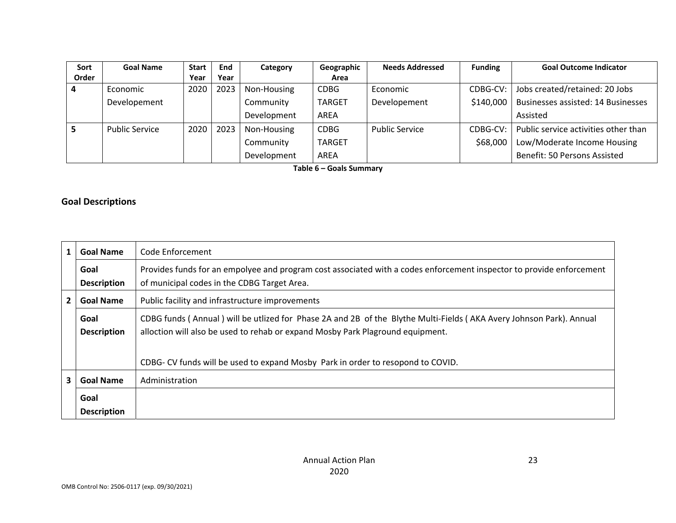| <b>Sort</b> | <b>Goal Name</b>      | <b>Start</b> | <b>End</b> | Category    | Geographic    | <b>Needs Addressed</b> | <b>Funding</b> | <b>Goal Outcome Indicator</b>             |
|-------------|-----------------------|--------------|------------|-------------|---------------|------------------------|----------------|-------------------------------------------|
| Order       |                       | Year         | Year       |             | Area          |                        |                |                                           |
|             | Economic              | 2020         | 2023       | Non-Housing | <b>CDBG</b>   | Economic               | CDBG-CV:       | Jobs created/retained: 20 Jobs            |
|             | Developement          |              |            | Community   | <b>TARGET</b> | Developement           | \$140,000      | <b>Businesses assisted: 14 Businesses</b> |
|             |                       |              |            | Development | AREA          |                        |                | Assisted                                  |
|             | <b>Public Service</b> | 2020         | 2023       | Non-Housing | <b>CDBG</b>   | <b>Public Service</b>  | CDBG-CV:       | Public service activities other than      |
|             |                       |              |            | Community   | <b>TARGET</b> |                        | \$68,000       | Low/Moderate Income Housing               |
|             |                       |              |            | Development | AREA          |                        |                | Benefit: 50 Persons Assisted              |

**Table 6 – Goals Summary**

#### **Goal Descriptions**

| 1              | <b>Goal Name</b>           | Code Enforcement                                                                                                                                                                                      |
|----------------|----------------------------|-------------------------------------------------------------------------------------------------------------------------------------------------------------------------------------------------------|
|                | Goal<br><b>Description</b> | Provides funds for an empolyee and program cost associated with a codes enforcement inspector to provide enforcement<br>of municipal codes in the CDBG Target Area.                                   |
| $\overline{2}$ | <b>Goal Name</b>           | Public facility and infrastructure improvements                                                                                                                                                       |
|                | Goal<br><b>Description</b> | CDBG funds (Annual) will be utlized for Phase 2A and 2B of the Blythe Multi-Fields (AKA Avery Johnson Park). Annual<br>alloction will also be used to rehab or expand Mosby Park Plaground equipment. |
|                |                            | CDBG- CV funds will be used to expand Mosby Park in order to resopond to COVID.                                                                                                                       |
| 3              | <b>Goal Name</b>           | Administration                                                                                                                                                                                        |
|                | Goal<br><b>Description</b> |                                                                                                                                                                                                       |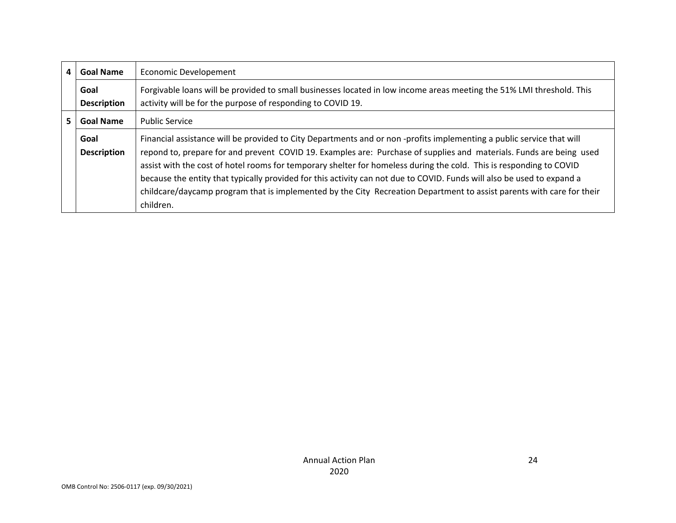| 4  | <b>Goal Name</b>                          | <b>Economic Developement</b>                                                                                                                                                                                                                                                                                                                                                                                                                                                                                                                                                                                                       |
|----|-------------------------------------------|------------------------------------------------------------------------------------------------------------------------------------------------------------------------------------------------------------------------------------------------------------------------------------------------------------------------------------------------------------------------------------------------------------------------------------------------------------------------------------------------------------------------------------------------------------------------------------------------------------------------------------|
|    | Goal<br><b>Description</b>                | Forgivable loans will be provided to small businesses located in low income areas meeting the 51% LMI threshold. This<br>activity will be for the purpose of responding to COVID 19.                                                                                                                                                                                                                                                                                                                                                                                                                                               |
| 5. | <b>Goal Name</b><br><b>Public Service</b> |                                                                                                                                                                                                                                                                                                                                                                                                                                                                                                                                                                                                                                    |
|    | Goal<br><b>Description</b>                | Financial assistance will be provided to City Departments and or non-profits implementing a public service that will<br>repond to, prepare for and prevent COVID 19. Examples are: Purchase of supplies and materials. Funds are being used<br>assist with the cost of hotel rooms for temporary shelter for homeless during the cold. This is responding to COVID<br>because the entity that typically provided for this activity can not due to COVID. Funds will also be used to expand a<br>childcare/daycamp program that is implemented by the City Recreation Department to assist parents with care for their<br>children. |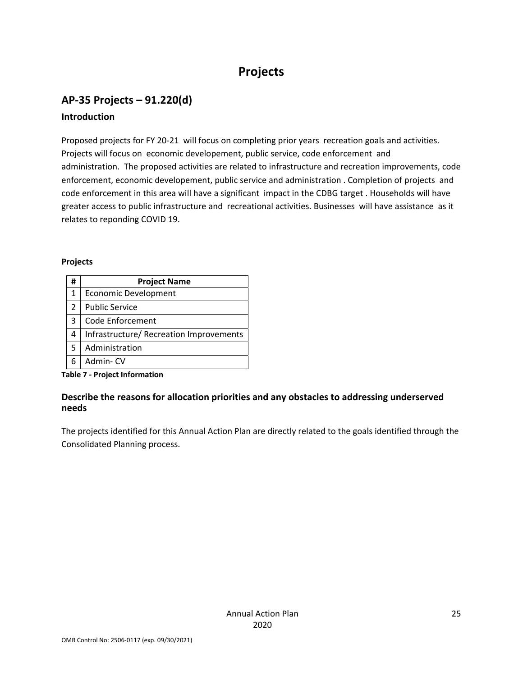# **Projects**

## **AP‐35 Projects – 91.220(d)**

### **Introduction**

Proposed projects for FY 20-21 will focus on completing prior years recreation goals and activities. Projects will focus on economic developement, public service, code enforcement and administration. The proposed activities are related to infrastructure and recreation improvements, code enforcement, economic developement, public service and administration . Completion of projects and code enforcement in this area will have a significant impact in the CDBG target . Households will have greater access to public infrastructure and recreational activities. Businesses will have assistance as it relates to reponding COVID 19.

#### **Projects**

| #             | <b>Project Name</b>                     |
|---------------|-----------------------------------------|
| 1             | <b>Economic Development</b>             |
| $\mathcal{L}$ | <b>Public Service</b>                   |
| 3             | Code Enforcement                        |
| 4             | Infrastructure/ Recreation Improvements |
| 5             | Administration                          |
| 6             | Admin-CV                                |

**Table 7 ‐ Project Information**

#### **Describe the reasons for allocation priorities and any obstacles to addressing underserved needs**

The projects identified for this Annual Action Plan are directly related to the goals identified through the Consolidated Planning process.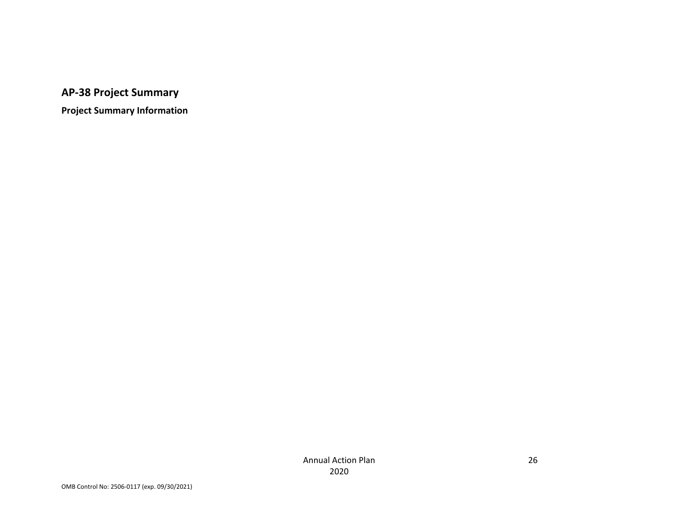**AP‐38 Project Summary**

**Project Summary Information**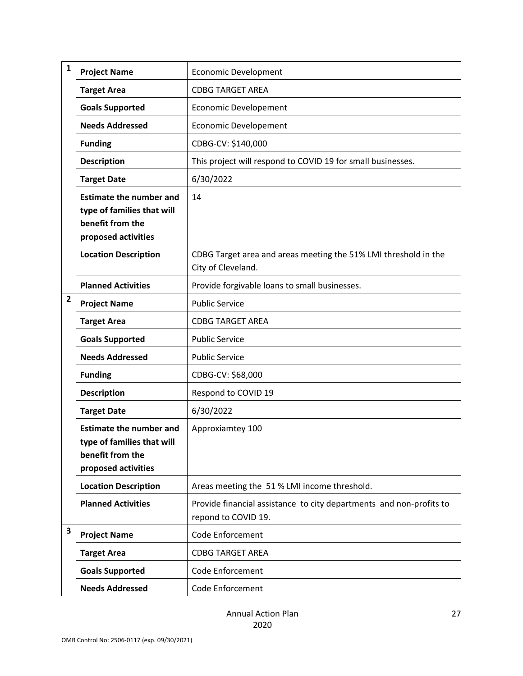| $\mathbf{1}$ | <b>Project Name</b>                                                                                     | <b>Economic Development</b>                                                                |
|--------------|---------------------------------------------------------------------------------------------------------|--------------------------------------------------------------------------------------------|
|              | <b>Target Area</b>                                                                                      | <b>CDBG TARGET AREA</b>                                                                    |
|              | <b>Goals Supported</b>                                                                                  | Economic Developement                                                                      |
|              | <b>Needs Addressed</b>                                                                                  | <b>Economic Developement</b>                                                               |
|              | <b>Funding</b>                                                                                          | CDBG-CV: \$140,000                                                                         |
|              | <b>Description</b>                                                                                      | This project will respond to COVID 19 for small businesses.                                |
|              | <b>Target Date</b>                                                                                      | 6/30/2022                                                                                  |
|              | <b>Estimate the number and</b><br>type of families that will<br>benefit from the<br>proposed activities | 14                                                                                         |
|              | <b>Location Description</b>                                                                             | CDBG Target area and areas meeting the 51% LMI threshold in the<br>City of Cleveland.      |
|              | <b>Planned Activities</b>                                                                               | Provide forgivable loans to small businesses.                                              |
| 2            | <b>Project Name</b>                                                                                     | <b>Public Service</b>                                                                      |
|              | <b>Target Area</b>                                                                                      | <b>CDBG TARGET AREA</b>                                                                    |
|              | <b>Goals Supported</b>                                                                                  | <b>Public Service</b>                                                                      |
|              | <b>Needs Addressed</b>                                                                                  | <b>Public Service</b>                                                                      |
|              | <b>Funding</b>                                                                                          | CDBG-CV: \$68,000                                                                          |
|              | <b>Description</b>                                                                                      | Respond to COVID 19                                                                        |
|              | <b>Target Date</b>                                                                                      | 6/30/2022                                                                                  |
|              | <b>Estimate the number and</b><br>type of families that will<br>benefit from the<br>proposed activities | Approxiamtey 100                                                                           |
|              | <b>Location Description</b>                                                                             | Areas meeting the 51 % LMI income threshold.                                               |
|              | <b>Planned Activities</b>                                                                               | Provide financial assistance to city departments and non-profits to<br>repond to COVID 19. |
| 3            | <b>Project Name</b>                                                                                     | Code Enforcement                                                                           |
|              | <b>Target Area</b>                                                                                      | <b>CDBG TARGET AREA</b>                                                                    |
|              | <b>Goals Supported</b>                                                                                  | Code Enforcement                                                                           |
|              | <b>Needs Addressed</b>                                                                                  | Code Enforcement                                                                           |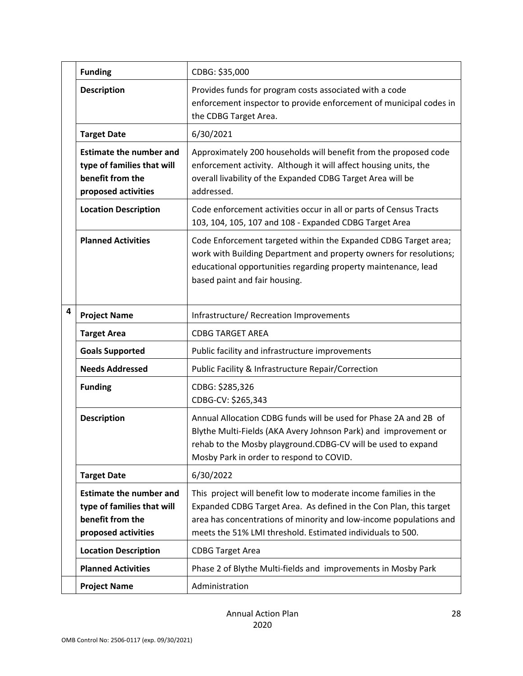|   | <b>Funding</b>                                                                                          | CDBG: \$35,000                                                                                                                                                                                                                                                             |
|---|---------------------------------------------------------------------------------------------------------|----------------------------------------------------------------------------------------------------------------------------------------------------------------------------------------------------------------------------------------------------------------------------|
|   | <b>Description</b>                                                                                      | Provides funds for program costs associated with a code<br>enforcement inspector to provide enforcement of municipal codes in<br>the CDBG Target Area.                                                                                                                     |
|   | <b>Target Date</b>                                                                                      | 6/30/2021                                                                                                                                                                                                                                                                  |
|   | <b>Estimate the number and</b><br>type of families that will<br>benefit from the<br>proposed activities | Approximately 200 households will benefit from the proposed code<br>enforcement activity. Although it will affect housing units, the<br>overall livability of the Expanded CDBG Target Area will be<br>addressed.                                                          |
|   | <b>Location Description</b>                                                                             | Code enforcement activities occur in all or parts of Census Tracts<br>103, 104, 105, 107 and 108 - Expanded CDBG Target Area                                                                                                                                               |
|   | <b>Planned Activities</b>                                                                               | Code Enforcement targeted within the Expanded CDBG Target area;<br>work with Building Department and property owners for resolutions;<br>educational opportunities regarding property maintenance, lead<br>based paint and fair housing.                                   |
| 4 | <b>Project Name</b>                                                                                     | Infrastructure/ Recreation Improvements                                                                                                                                                                                                                                    |
|   | <b>Target Area</b>                                                                                      | <b>CDBG TARGET AREA</b>                                                                                                                                                                                                                                                    |
|   | <b>Goals Supported</b>                                                                                  | Public facility and infrastructure improvements                                                                                                                                                                                                                            |
|   | <b>Needs Addressed</b>                                                                                  | Public Facility & Infrastructure Repair/Correction                                                                                                                                                                                                                         |
|   | <b>Funding</b>                                                                                          | CDBG: \$285,326<br>CDBG-CV: \$265,343                                                                                                                                                                                                                                      |
|   | <b>Description</b>                                                                                      | Annual Allocation CDBG funds will be used for Phase 2A and 2B of<br>Blythe Multi-Fields (AKA Avery Johnson Park) and improvement or<br>rehab to the Mosby playground.CDBG-CV will be used to expand<br>Mosby Park in order to respond to COVID.                            |
|   | <b>Target Date</b>                                                                                      | 6/30/2022                                                                                                                                                                                                                                                                  |
|   | <b>Estimate the number and</b><br>type of families that will<br>benefit from the<br>proposed activities | This project will benefit low to moderate income families in the<br>Expanded CDBG Target Area. As defined in the Con Plan, this target<br>area has concentrations of minority and low-income populations and<br>meets the 51% LMI threshold. Estimated individuals to 500. |
|   | <b>Location Description</b>                                                                             | <b>CDBG Target Area</b>                                                                                                                                                                                                                                                    |
|   | <b>Planned Activities</b>                                                                               | Phase 2 of Blythe Multi-fields and improvements in Mosby Park                                                                                                                                                                                                              |
|   | <b>Project Name</b>                                                                                     | Administration                                                                                                                                                                                                                                                             |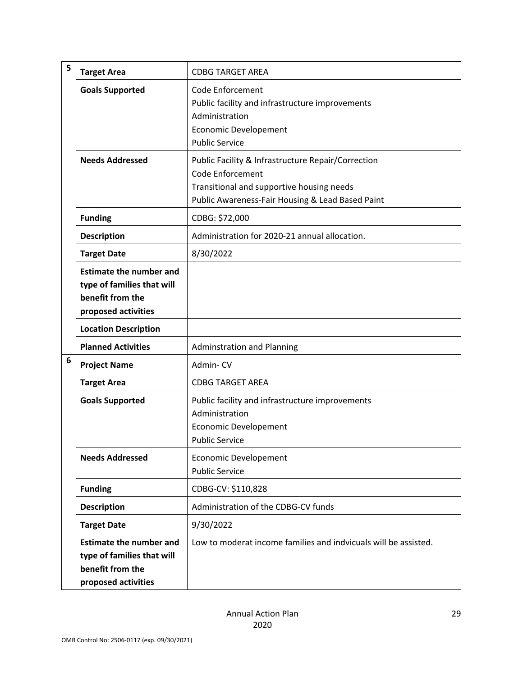| 5 | <b>Target Area</b>                                                                                      | <b>CDBG TARGET AREA</b>                                                                                                                                                        |
|---|---------------------------------------------------------------------------------------------------------|--------------------------------------------------------------------------------------------------------------------------------------------------------------------------------|
|   | <b>Goals Supported</b>                                                                                  | <b>Code Enforcement</b><br>Public facility and infrastructure improvements<br>Administration<br><b>Economic Developement</b><br><b>Public Service</b>                          |
|   | <b>Needs Addressed</b>                                                                                  | Public Facility & Infrastructure Repair/Correction<br><b>Code Enforcement</b><br>Transitional and supportive housing needs<br>Public Awareness-Fair Housing & Lead Based Paint |
|   | <b>Funding</b>                                                                                          | CDBG: \$72,000                                                                                                                                                                 |
|   | <b>Description</b>                                                                                      | Administration for 2020-21 annual allocation.                                                                                                                                  |
|   | <b>Target Date</b>                                                                                      | 8/30/2022                                                                                                                                                                      |
|   | <b>Estimate the number and</b><br>type of families that will<br>benefit from the<br>proposed activities |                                                                                                                                                                                |
|   | <b>Location Description</b>                                                                             |                                                                                                                                                                                |
|   | <b>Planned Activities</b>                                                                               | <b>Adminstration and Planning</b>                                                                                                                                              |
| 6 | <b>Project Name</b>                                                                                     | Admin-CV                                                                                                                                                                       |
|   | <b>Target Area</b>                                                                                      | <b>CDBG TARGET AREA</b>                                                                                                                                                        |
|   | <b>Goals Supported</b>                                                                                  | Public facility and infrastructure improvements<br>Administration<br><b>Economic Developement</b><br><b>Public Service</b>                                                     |
|   | <b>Needs Addressed</b>                                                                                  | <b>Economic Developement</b><br><b>Public Service</b>                                                                                                                          |
|   | <b>Funding</b>                                                                                          | CDBG-CV: \$110,828                                                                                                                                                             |
|   | <b>Description</b>                                                                                      | Administration of the CDBG-CV funds                                                                                                                                            |
|   | <b>Target Date</b>                                                                                      | 9/30/2022                                                                                                                                                                      |
|   | <b>Estimate the number and</b><br>type of families that will<br>benefit from the<br>proposed activities | Low to moderat income families and indvicuals will be assisted.                                                                                                                |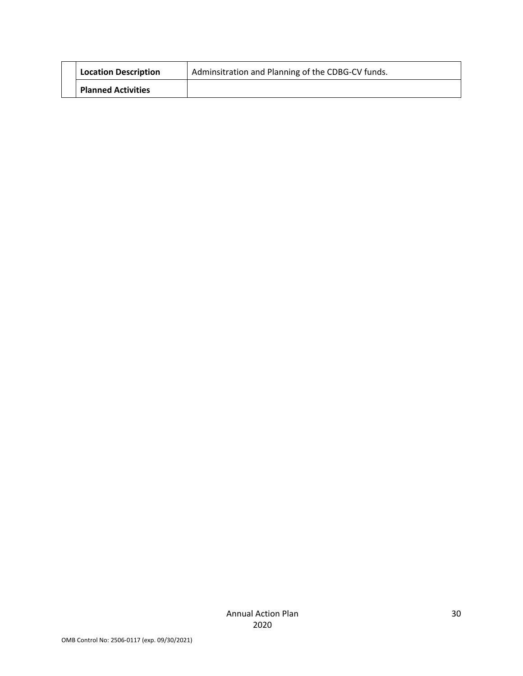| <b>Location Description</b> | Adminsitration and Planning of the CDBG-CV funds. |
|-----------------------------|---------------------------------------------------|
| <b>Planned Activities</b>   |                                                   |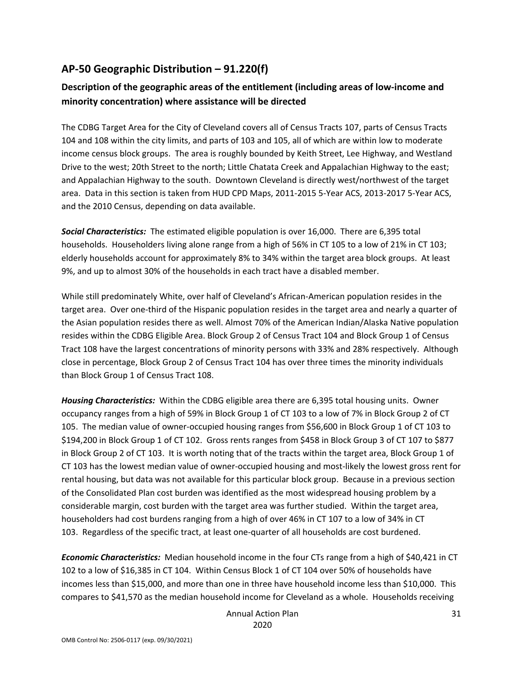### **AP‐50 Geographic Distribution – 91.220(f)**

### **Description of the geographic areas of the entitlement (including areas of low‐income and minority concentration) where assistance will be directed**

The CDBG Target Area for the City of Cleveland covers all of Census Tracts 107, parts of Census Tracts 104 and 108 within the city limits, and parts of 103 and 105, all of which are within low to moderate income census block groups. The area is roughly bounded by Keith Street, Lee Highway, and Westland Drive to the west; 20th Street to the north; Little Chatata Creek and Appalachian Highway to the east; and Appalachian Highway to the south. Downtown Cleveland is directly west/northwest of the target area. Data in this section is taken from HUD CPD Maps, 2011‐2015 5‐Year ACS, 2013‐2017 5‐Year ACS, and the 2010 Census, depending on data available.

*Social Characteristics:* The estimated eligible population is over 16,000. There are 6,395 total households. Householders living alone range from a high of 56% in CT 105 to a low of 21% in CT 103; elderly households account for approximately 8% to 34% within the target area block groups. At least 9%, and up to almost 30% of the households in each tract have a disabled member.

While still predominately White, over half of Cleveland's African-American population resides in the target area. Over one‐third of the Hispanic population resides in the target area and nearly a quarter of the Asian population resides there as well. Almost 70% of the American Indian/Alaska Native population resides within the CDBG Eligible Area. Block Group 2 of Census Tract 104 and Block Group 1 of Census Tract 108 have the largest concentrations of minority persons with 33% and 28% respectively. Although close in percentage, Block Group 2 of Census Tract 104 has over three times the minority individuals than Block Group 1 of Census Tract 108.

*Housing Characteristics:* Within the CDBG eligible area there are 6,395 total housing units. Owner occupancy ranges from a high of 59% in Block Group 1 of CT 103 to a low of 7% in Block Group 2 of CT 105. The median value of owner‐occupied housing ranges from \$56,600 in Block Group 1 of CT 103 to \$194,200 in Block Group 1 of CT 102. Gross rents ranges from \$458 in Block Group 3 of CT 107 to \$877 in Block Group 2 of CT 103. It is worth noting that of the tracts within the target area, Block Group 1 of CT 103 has the lowest median value of owner‐occupied housing and most‐likely the lowest gross rent for rental housing, but data was not available for this particular block group. Because in a previous section of the Consolidated Plan cost burden was identified as the most widespread housing problem by a considerable margin, cost burden with the target area was further studied. Within the target area, householders had cost burdens ranging from a high of over 46% in CT 107 to a low of 34% in CT 103. Regardless of the specific tract, at least one‐quarter of all households are cost burdened.

*Economic Characteristics:* Median household income in the four CTs range from a high of \$40,421 in CT 102 to a low of \$16,385 in CT 104. Within Census Block 1 of CT 104 over 50% of households have incomes less than \$15,000, and more than one in three have household income less than \$10,000. This compares to \$41,570 as the median household income for Cleveland as a whole. Households receiving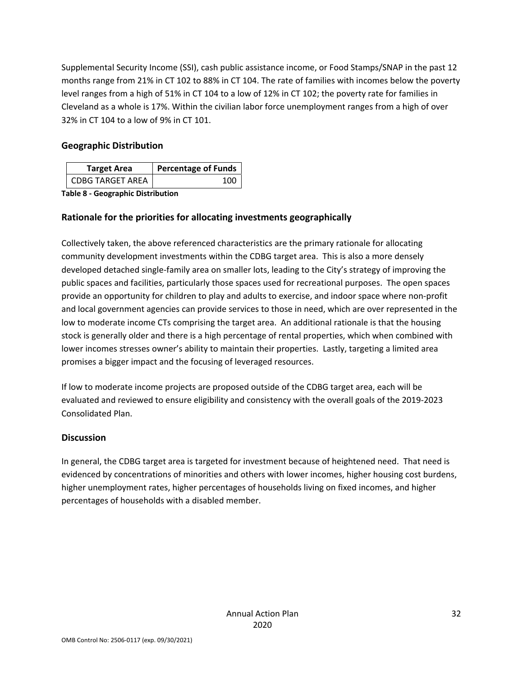Supplemental Security Income (SSI), cash public assistance income, or Food Stamps/SNAP in the past 12 months range from 21% in CT 102 to 88% in CT 104. The rate of families with incomes below the poverty level ranges from a high of 51% in CT 104 to a low of 12% in CT 102; the poverty rate for families in Cleveland as a whole is 17%. Within the civilian labor force unemployment ranges from a high of over 32% in CT 104 to a low of 9% in CT 101.

### **Geographic Distribution**

| <b>Target Area</b>      | <b>Percentage of Funds</b> |
|-------------------------|----------------------------|
| <b>CDBG TARGET AREA</b> | 100                        |

**Table 8 ‐ Geographic Distribution** 

### **Rationale for the priorities for allocating investments geographically**

Collectively taken, the above referenced characteristics are the primary rationale for allocating community development investments within the CDBG target area. This is also a more densely developed detached single‐family area on smaller lots, leading to the City's strategy of improving the public spaces and facilities, particularly those spaces used for recreational purposes. The open spaces provide an opportunity for children to play and adults to exercise, and indoor space where non‐profit and local government agencies can provide services to those in need, which are over represented in the low to moderate income CTs comprising the target area. An additional rationale is that the housing stock is generally older and there is a high percentage of rental properties, which when combined with lower incomes stresses owner's ability to maintain their properties. Lastly, targeting a limited area promises a bigger impact and the focusing of leveraged resources.

If low to moderate income projects are proposed outside of the CDBG target area, each will be evaluated and reviewed to ensure eligibility and consistency with the overall goals of the 2019‐2023 Consolidated Plan.

#### **Discussion**

In general, the CDBG target area is targeted for investment because of heightened need. That need is evidenced by concentrations of minorities and others with lower incomes, higher housing cost burdens, higher unemployment rates, higher percentages of households living on fixed incomes, and higher percentages of households with a disabled member.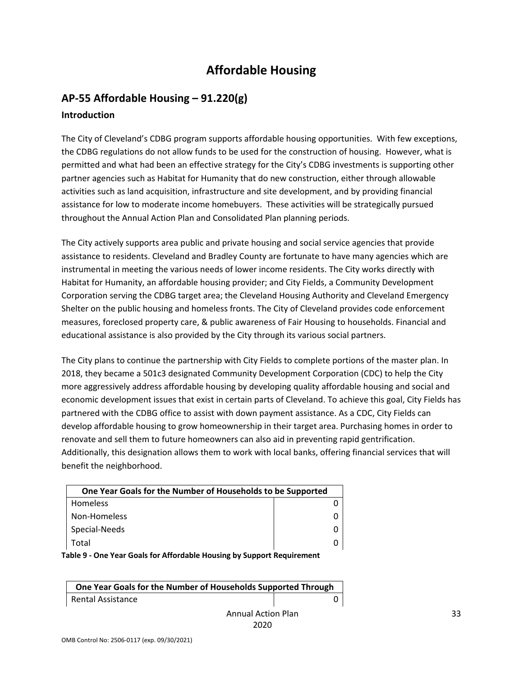# **Affordable Housing**

### **AP‐55 Affordable Housing – 91.220(g) Introduction**

The City of Cleveland's CDBG program supports affordable housing opportunities. With few exceptions, the CDBG regulations do not allow funds to be used for the construction of housing. However, what is permitted and what had been an effective strategy for the City's CDBG investments is supporting other partner agencies such as Habitat for Humanity that do new construction, either through allowable activities such as land acquisition, infrastructure and site development, and by providing financial assistance for low to moderate income homebuyers. These activities will be strategically pursued throughout the Annual Action Plan and Consolidated Plan planning periods.

The City actively supports area public and private housing and social service agencies that provide assistance to residents. Cleveland and Bradley County are fortunate to have many agencies which are instrumental in meeting the various needs of lower income residents. The City works directly with Habitat for Humanity, an affordable housing provider; and City Fields, a Community Development Corporation serving the CDBG target area; the Cleveland Housing Authority and Cleveland Emergency Shelter on the public housing and homeless fronts. The City of Cleveland provides code enforcement measures, foreclosed property care, & public awareness of Fair Housing to households. Financial and educational assistance is also provided by the City through its various social partners.

The City plans to continue the partnership with City Fields to complete portions of the master plan. In 2018, they became a 501c3 designated Community Development Corporation (CDC) to help the City more aggressively address affordable housing by developing quality affordable housing and social and economic development issues that exist in certain parts of Cleveland. To achieve this goal, City Fields has partnered with the CDBG office to assist with down payment assistance. As a CDC, City Fields can develop affordable housing to grow homeownership in their target area. Purchasing homes in order to renovate and sell them to future homeowners can also aid in preventing rapid gentrification. Additionally, this designation allows them to work with local banks, offering financial services that will benefit the neighborhood.

| One Year Goals for the Number of Households to be Supported |  |  |
|-------------------------------------------------------------|--|--|
| Homeless                                                    |  |  |
| Non-Homeless                                                |  |  |
| Special-Needs                                               |  |  |
| Total                                                       |  |  |

**Table 9 ‐ One Year Goals for Affordable Housing by Support Requirement**

| One Year Goals for the Number of Households Supported Through |  |
|---------------------------------------------------------------|--|
| Rental Assistance                                             |  |
| Arracle Later District                                        |  |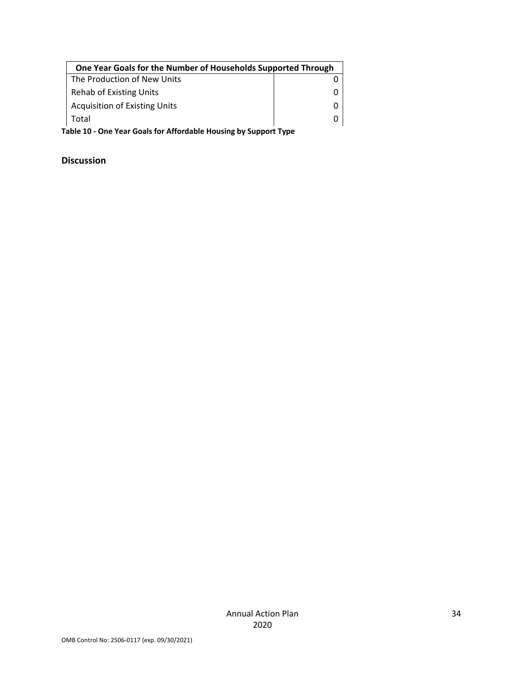| One Year Goals for the Number of Households Supported Through |  |  |
|---------------------------------------------------------------|--|--|
| The Production of New Units                                   |  |  |
| Rehab of Existing Units                                       |  |  |
| <b>Acquisition of Existing Units</b>                          |  |  |
| Total                                                         |  |  |

**Table 10 ‐ One Year Goals for Affordable Housing by Support Type**

### **Discussion**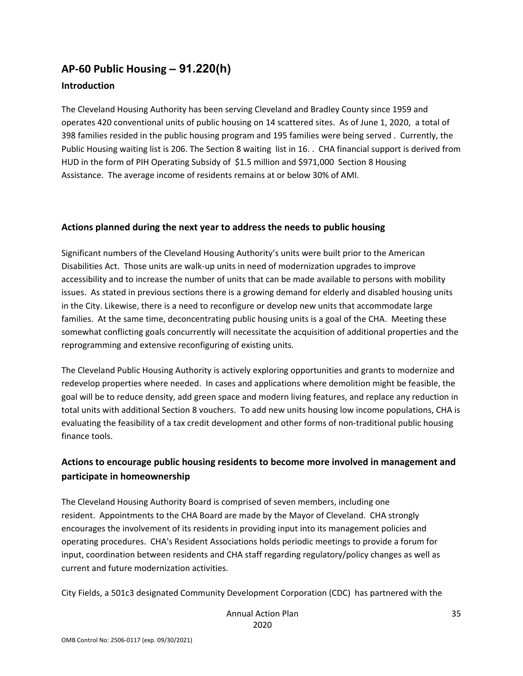## **AP‐60 Public Housing** *–* **91.220(h) Introduction**

The Cleveland Housing Authority has been serving Cleveland and Bradley County since 1959 and operates 420 conventional units of public housing on 14 scattered sites. As of June 1, 2020, a total of 398 families resided in the public housing program and 195 families were being served . Currently, the Public Housing waiting list is 206. The Section 8 waiting list in 16. . CHA financial support is derived from HUD in the form of PIH Operating Subsidy of \$1.5 million and \$971,000 Section 8 Housing Assistance. The average income of residents remains at or below 30% of AMI.

### **Actions planned during the next year to address the needs to public housing**

Significant numbers of the Cleveland Housing Authority's units were built prior to the American Disabilities Act. Those units are walk‐up units in need of modernization upgrades to improve accessibility and to increase the number of units that can be made available to persons with mobility issues. As stated in previous sections there is a growing demand for elderly and disabled housing units in the City. Likewise, there is a need to reconfigure or develop new units that accommodate large families. At the same time, deconcentrating public housing units is a goal of the CHA. Meeting these somewhat conflicting goals concurrently will necessitate the acquisition of additional properties and the reprogramming and extensive reconfiguring of existing units.

The Cleveland Public Housing Authority is actively exploring opportunities and grants to modernize and redevelop properties where needed. In cases and applications where demolition might be feasible, the goal will be to reduce density, add green space and modern living features, and replace any reduction in total units with additional Section 8 vouchers. To add new units housing low income populations, CHA is evaluating the feasibility of a tax credit development and other forms of non‐traditional public housing finance tools.

### **Actions to encourage public housing residents to become more involved in management and participate in homeownership**

The Cleveland Housing Authority Board is comprised of seven members, including one resident. Appointments to the CHA Board are made by the Mayor of Cleveland. CHA strongly encourages the involvement of its residents in providing input into its management policies and operating procedures. CHA's Resident Associations holds periodic meetings to provide a forum for input, coordination between residents and CHA staff regarding regulatory/policy changes as well as current and future modernization activities.

City Fields, a 501c3 designated Community Development Corporation (CDC) has partnered with the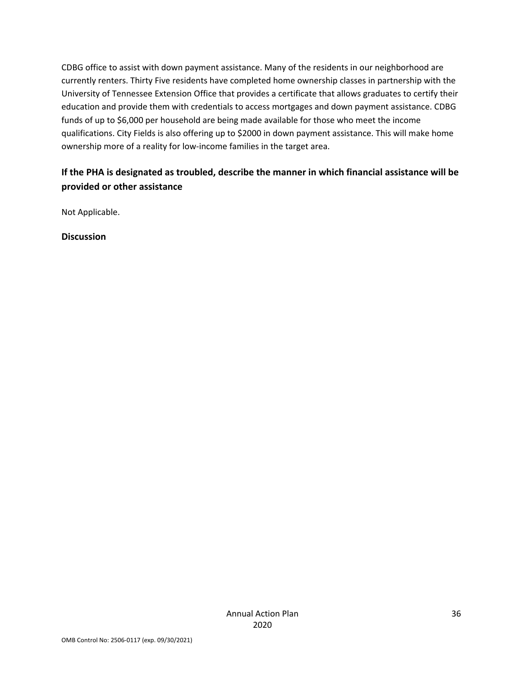CDBG office to assist with down payment assistance. Many of the residents in our neighborhood are currently renters. Thirty Five residents have completed home ownership classes in partnership with the University of Tennessee Extension Office that provides a certificate that allows graduates to certify their education and provide them with credentials to access mortgages and down payment assistance. CDBG funds of up to \$6,000 per household are being made available for those who meet the income qualifications. City Fields is also offering up to \$2000 in down payment assistance. This will make home ownership more of a reality for low‐income families in the target area.

### **If the PHA is designated as troubled, describe the manner in which financial assistance will be provided or other assistance**

Not Applicable.

**Discussion**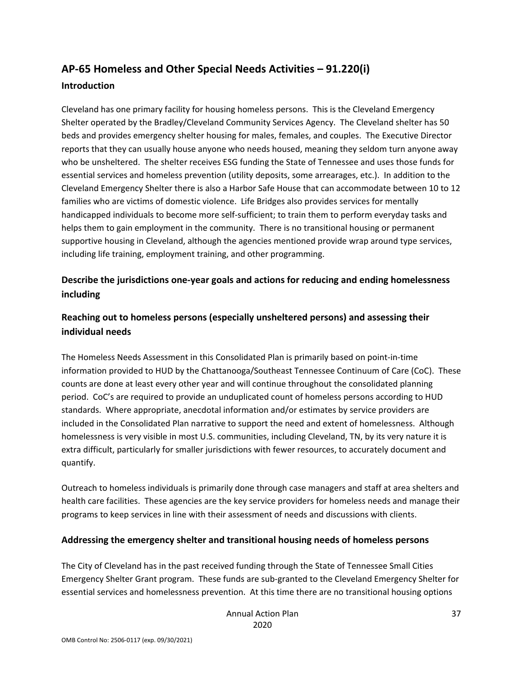## **AP‐65 Homeless and Other Special Needs Activities – 91.220(i) Introduction**

Cleveland has one primary facility for housing homeless persons. This is the Cleveland Emergency Shelter operated by the Bradley/Cleveland Community Services Agency. The Cleveland shelter has 50 beds and provides emergency shelter housing for males, females, and couples. The Executive Director reports that they can usually house anyone who needs housed, meaning they seldom turn anyone away who be unsheltered. The shelter receives ESG funding the State of Tennessee and uses those funds for essential services and homeless prevention (utility deposits, some arrearages, etc.). In addition to the Cleveland Emergency Shelter there is also a Harbor Safe House that can accommodate between 10 to 12 families who are victims of domestic violence. Life Bridges also provides services for mentally handicapped individuals to become more self‐sufficient; to train them to perform everyday tasks and helps them to gain employment in the community. There is no transitional housing or permanent supportive housing in Cleveland, although the agencies mentioned provide wrap around type services, including life training, employment training, and other programming.

### **Describe the jurisdictions one‐year goals and actions for reducing and ending homelessness including**

### **Reaching out to homeless persons (especially unsheltered persons) and assessing their individual needs**

The Homeless Needs Assessment in this Consolidated Plan is primarily based on point‐in‐time information provided to HUD by the Chattanooga/Southeast Tennessee Continuum of Care (CoC). These counts are done at least every other year and will continue throughout the consolidated planning period. CoC's are required to provide an unduplicated count of homeless persons according to HUD standards. Where appropriate, anecdotal information and/or estimates by service providers are included in the Consolidated Plan narrative to support the need and extent of homelessness. Although homelessness is very visible in most U.S. communities, including Cleveland, TN, by its very nature it is extra difficult, particularly for smaller jurisdictions with fewer resources, to accurately document and quantify.

Outreach to homeless individuals is primarily done through case managers and staff at area shelters and health care facilities. These agencies are the key service providers for homeless needs and manage their programs to keep services in line with their assessment of needs and discussions with clients.

#### **Addressing the emergency shelter and transitional housing needs of homeless persons**

The City of Cleveland has in the past received funding through the State of Tennessee Small Cities Emergency Shelter Grant program. These funds are sub‐granted to the Cleveland Emergency Shelter for essential services and homelessness prevention. At this time there are no transitional housing options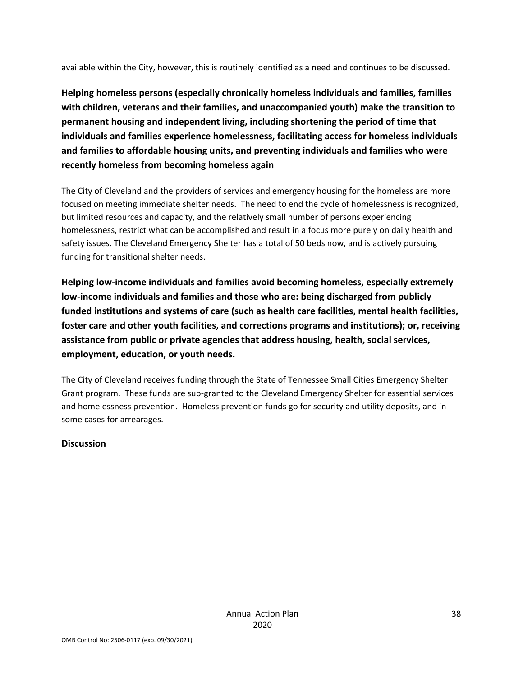available within the City, however, this is routinely identified as a need and continues to be discussed.

**Helping homeless persons (especially chronically homeless individuals and families, families with children, veterans and their families, and unaccompanied youth) make the transition to permanent housing and independent living, including shortening the period of time that individuals and families experience homelessness, facilitating access for homeless individuals and families to affordable housing units, and preventing individuals and families who were recently homeless from becoming homeless again**

The City of Cleveland and the providers of services and emergency housing for the homeless are more focused on meeting immediate shelter needs. The need to end the cycle of homelessness is recognized, but limited resources and capacity, and the relatively small number of persons experiencing homelessness, restrict what can be accomplished and result in a focus more purely on daily health and safety issues. The Cleveland Emergency Shelter has a total of 50 beds now, and is actively pursuing funding for transitional shelter needs.

**Helping low‐income individuals and families avoid becoming homeless, especially extremely low‐income individuals and families and those who are: being discharged from publicly funded institutions and systems of care (such as health care facilities, mental health facilities, foster care and other youth facilities, and corrections programs and institutions); or, receiving assistance from public or private agencies that address housing, health, social services, employment, education, or youth needs.**

The City of Cleveland receives funding through the State of Tennessee Small Cities Emergency Shelter Grant program. These funds are sub‐granted to the Cleveland Emergency Shelter for essential services and homelessness prevention. Homeless prevention funds go for security and utility deposits, and in some cases for arrearages.

#### **Discussion**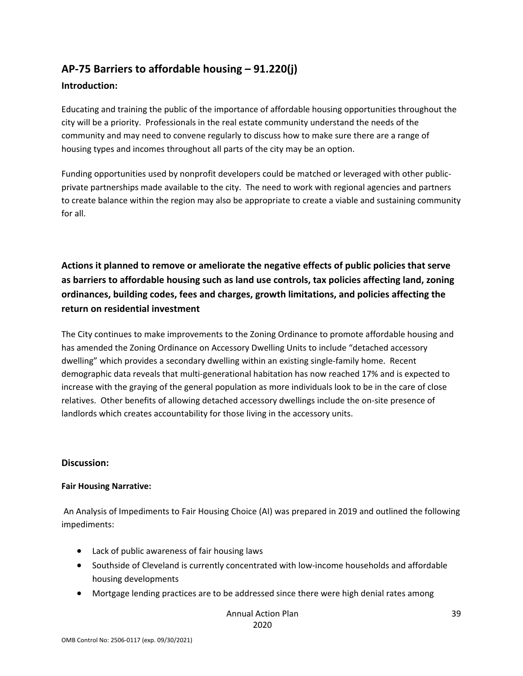## **AP‐75 Barriers to affordable housing – 91.220(j)**

### **Introduction:**

Educating and training the public of the importance of affordable housing opportunities throughout the city will be a priority. Professionals in the real estate community understand the needs of the community and may need to convene regularly to discuss how to make sure there are a range of housing types and incomes throughout all parts of the city may be an option.

Funding opportunities used by nonprofit developers could be matched or leveraged with other public‐ private partnerships made available to the city. The need to work with regional agencies and partners to create balance within the region may also be appropriate to create a viable and sustaining community for all.

**Actions it planned to remove or ameliorate the negative effects of public policies that serve as barriers to affordable housing such as land use controls, tax policies affecting land, zoning ordinances, building codes, fees and charges, growth limitations, and policies affecting the return on residential investment**

The City continues to make improvements to the Zoning Ordinance to promote affordable housing and has amended the Zoning Ordinance on Accessory Dwelling Units to include "detached accessory dwelling" which provides a secondary dwelling within an existing single‐family home. Recent demographic data reveals that multi‐generational habitation has now reached 17% and is expected to increase with the graying of the general population as more individuals look to be in the care of close relatives. Other benefits of allowing detached accessory dwellings include the on‐site presence of landlords which creates accountability for those living in the accessory units.

#### **Discussion:**

#### **Fair Housing Narrative:**

An Analysis of Impediments to Fair Housing Choice (AI) was prepared in 2019 and outlined the following impediments:

- Lack of public awareness of fair housing laws
- Southside of Cleveland is currently concentrated with low‐income households and affordable housing developments
- Mortgage lending practices are to be addressed since there were high denial rates among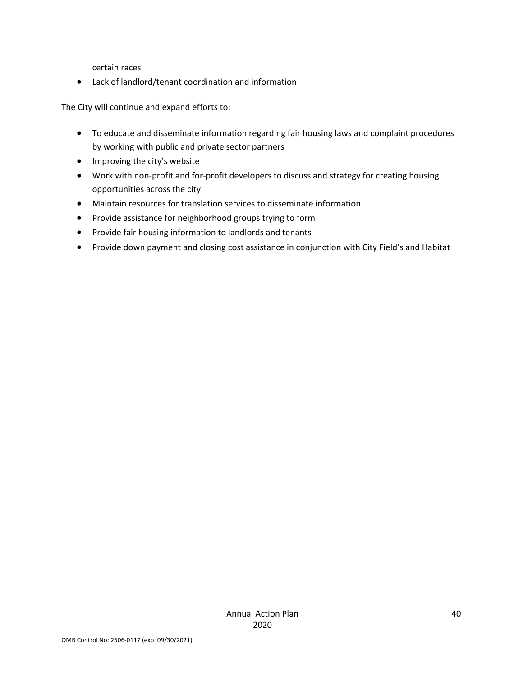certain races

Lack of landlord/tenant coordination and information

The City will continue and expand efforts to:

- To educate and disseminate information regarding fair housing laws and complaint procedures by working with public and private sector partners
- Improving the city's website
- Work with non-profit and for-profit developers to discuss and strategy for creating housing opportunities across the city
- Maintain resources for translation services to disseminate information
- Provide assistance for neighborhood groups trying to form
- Provide fair housing information to landlords and tenants
- Provide down payment and closing cost assistance in conjunction with City Field's and Habitat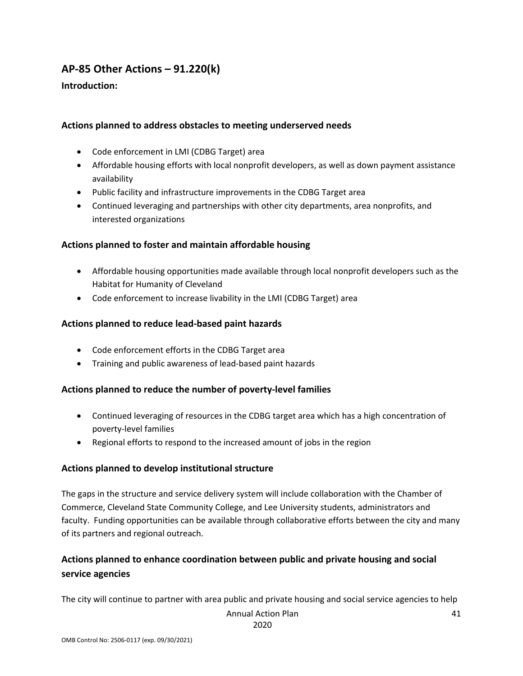### **AP‐85 Other Actions – 91.220(k)**

### **Introduction:**

#### **Actions planned to address obstacles to meeting underserved needs**

- Code enforcement in LMI (CDBG Target) area
- Affordable housing efforts with local nonprofit developers, as well as down payment assistance availability
- Public facility and infrastructure improvements in the CDBG Target area
- Continued leveraging and partnerships with other city departments, area nonprofits, and interested organizations

#### **Actions planned to foster and maintain affordable housing**

- Affordable housing opportunities made available through local nonprofit developers such as the Habitat for Humanity of Cleveland
- Code enforcement to increase livability in the LMI (CDBG Target) area

#### **Actions planned to reduce lead‐based paint hazards**

- Code enforcement efforts in the CDBG Target area
- Training and public awareness of lead‐based paint hazards

### **Actions planned to reduce the number of poverty‐level families**

- Continued leveraging of resources in the CDBG target area which has a high concentration of poverty‐level families
- Regional efforts to respond to the increased amount of jobs in the region

#### **Actions planned to develop institutional structure**

The gaps in the structure and service delivery system will include collaboration with the Chamber of Commerce, Cleveland State Community College, and Lee University students, administrators and faculty. Funding opportunities can be available through collaborative efforts between the city and many of its partners and regional outreach.

### **Actions planned to enhance coordination between public and private housing and social service agencies**

The city will continue to partner with area public and private housing and social service agencies to help

Annual Action Plan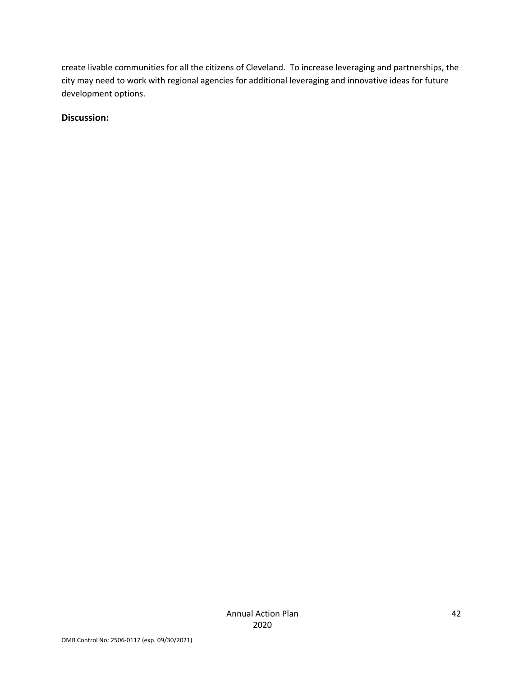create livable communities for all the citizens of Cleveland. To increase leveraging and partnerships, the city may need to work with regional agencies for additional leveraging and innovative ideas for future development options.

### **Discussion:**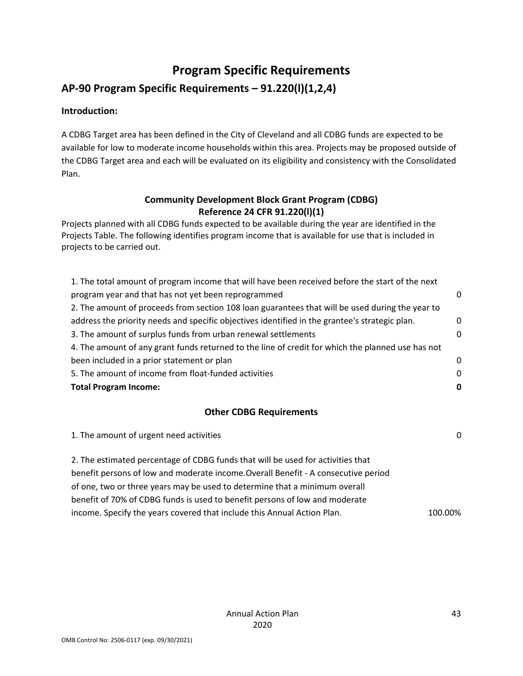## **Program Specific Requirements**

### **AP‐90 Program Specific Requirements – 91.220(l)(1,2,4)**

### **Introduction:**

A CDBG Target area has been defined in the City of Cleveland and all CDBG funds are expected to be available for low to moderate income households within this area. Projects may be proposed outside of the CDBG Target area and each will be evaluated on its eligibility and consistency with the Consolidated Plan.

### **Community Development Block Grant Program (CDBG) Reference 24 CFR 91.220(l)(1)**

Projects planned with all CDBG funds expected to be available during the year are identified in the Projects Table. The following identifies program income that is available for use that is included in projects to be carried out.

| 1. The total amount of program income that will have been received before the start of the next   |          |
|---------------------------------------------------------------------------------------------------|----------|
| program year and that has not yet been reprogrammed                                               | n        |
| 2. The amount of proceeds from section 108 loan guarantees that will be used during the year to   |          |
| address the priority needs and specific objectives identified in the grantee's strategic plan.    | 0        |
| 3. The amount of surplus funds from urban renewal settlements                                     | 0        |
| 4. The amount of any grant funds returned to the line of credit for which the planned use has not |          |
| been included in a prior statement or plan                                                        | $\Omega$ |
| 5. The amount of income from float-funded activities                                              | $\Omega$ |
| <b>Total Program Income:</b>                                                                      | 0        |

### **Other CDBG Requirements**

| 1. The amount of urgent need activities                                            | 0       |
|------------------------------------------------------------------------------------|---------|
| 2. The estimated percentage of CDBG funds that will be used for activities that    |         |
| benefit persons of low and moderate income. Overall Benefit - A consecutive period |         |
| of one, two or three years may be used to determine that a minimum overall         |         |
| benefit of 70% of CDBG funds is used to benefit persons of low and moderate        |         |
| income. Specify the years covered that include this Annual Action Plan.            | 100.00% |